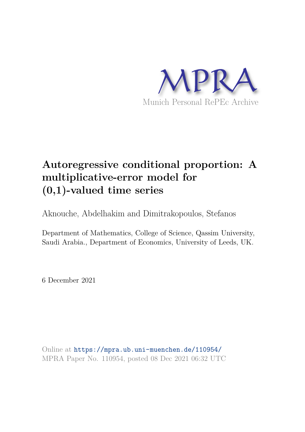

# **Autoregressive conditional proportion: A multiplicative-error model for (0,1)-valued time series**

Aknouche, Abdelhakim and Dimitrakopoulos, Stefanos

Department of Mathematics, College of Science, Qassim University, Saudi Arabia., Department of Economics, University of Leeds, UK.

6 December 2021

Online at https://mpra.ub.uni-muenchen.de/110954/ MPRA Paper No. 110954, posted 08 Dec 2021 06:32 UTC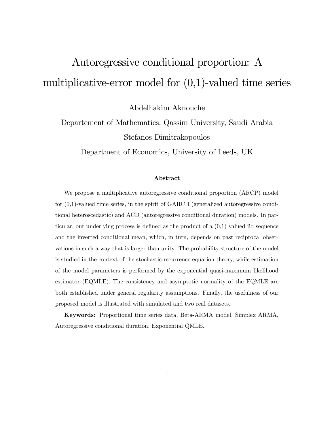# Autoregressive conditional proportion: A multiplicative-error model for  $(0,1)$ -valued time series

Abdelhakim Aknouche

Departement of Mathematics, Qassim University, Saudi Arabia Stefanos Dimitrakopoulos

Department of Economics, University of Leeds, UK

#### Abstract

We propose a multiplicative autoregressive conditional proportion (ARCP) model for (0,1)-valued time series, in the spirit of GARCH (generalized autoregressive conditional heteroscedastic) and ACD (autoregressive conditional duration) models. In particular, our underlying process is defined as the product of a  $(0,1)$ -valued iid sequence and the inverted conditional mean, which, in turn, depends on past reciprocal observations in such a way that is larger than unity. The probability structure of the model is studied in the context of the stochastic recurrence equation theory, while estimation of the model parameters is performed by the exponential quasi-maximum likelihood estimator (EQMLE). The consistency and asymptotic normality of the EQMLE are both established under general regularity assumptions. Finally, the usefulness of our proposed model is illustrated with simulated and two real datasets.

Keywords: Proportional time series data, Beta-ARMA model, Simplex ARMA, Autoregressive conditional duration, Exponential QMLE.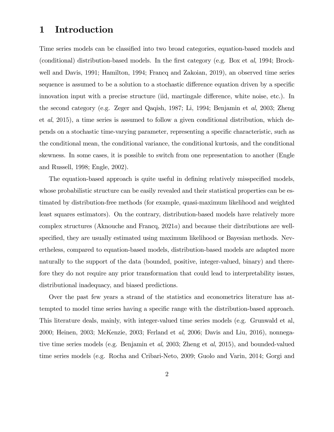# 1 Introduction

Time series models can be classified into two broad categories, equation-based models and (conditional) distribution-based models. In the first category (e.g. Box et  $al$ , 1994; Brockwell and Davis, 1991; Hamilton, 1994; Francq and Zakoian, 2019), an observed time series sequence is assumed to be a solution to a stochastic difference equation driven by a specific innovation input with a precise structure (iid, martingale difference, white noise, etc.). In the second category (e.g. Zeger and Qaqish, 1987; Li, 1994; Benjamin et al, 2003; Zheng et al, 2015), a time series is assumed to follow a given conditional distribution, which depends on a stochastic time-varying parameter, representing a specific characteristic, such as the conditional mean, the conditional variance, the conditional kurtosis, and the conditional skewness. In some cases, it is possible to switch from one representation to another (Engle and Russell, 1998; Engle, 2002).

The equation-based approach is quite useful in defining relatively misspecified models, whose probabilistic structure can be easily revealed and their statistical properties can be estimated by distribution-free methods (for example, quasi-maximum likelihood and weighted least squares estimators). On the contrary, distribution-based models have relatively more complex structures (Aknouche and Francq, 2021a) and because their distributions are wellspecified, they are usually estimated using maximum likelihood or Bayesian methods. Nevertheless, compared to equation-based models, distribution-based models are adapted more naturally to the support of the data (bounded, positive, integer-valued, binary) and therefore they do not require any prior transformation that could lead to interpretability issues, distributional inadequacy, and biased predictions.

Over the past few years a strand of the statistics and econometrics literature has attempted to model time series having a specific range with the distribution-based approach. This literature deals, mainly, with integer-valued time series models (e.g. Grunwald et al, 2000; Heinen, 2003; McKenzie, 2003; Ferland et al, 2006; Davis and Liu, 2016), nonnegative time series models (e.g. Benjamin et al, 2003; Zheng et al, 2015), and bounded-valued time series models (e.g. Rocha and Cribari-Neto, 2009; Guolo and Varin, 2014; Gorgi and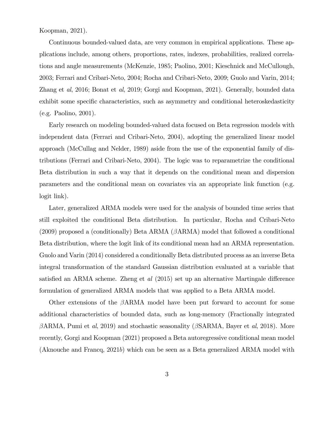Koopman, 2021).

Continuous bounded-valued data, are very common in empirical applications. These applications include, among others, proportions, rates, indexes, probabilities, realized correlations and angle measurements (McKenzie, 1985; Paolino, 2001; Kieschnick and McCullough, 2003; Ferrari and Cribari-Neto, 2004; Rocha and Cribari-Neto, 2009; Guolo and Varin, 2014; Zhang et al, 2016; Bonat et al, 2019; Gorgi and Koopman, 2021). Generally, bounded data exhibit some specific characteristics, such as asymmetry and conditional heteroskedasticity (e.g. Paolino, 2001).

Early research on modeling bounded-valued data focused on Beta regression models with independent data (Ferrari and Cribari-Neto, 2004), adopting the generalized linear model approach (McCullag and Nelder, 1989) aside from the use of the exponential family of distributions (Ferrari and Cribari-Neto, 2004). The logic was to reparametrize the conditional Beta distribution in such a way that it depends on the conditional mean and dispersion parameters and the conditional mean on covariates via an appropriate link function (e.g. logit link).

Later, generalized ARMA models were used for the analysis of bounded time series that still exploited the conditional Beta distribution. In particular, Rocha and Cribari-Neto (2009) proposed a (conditionally) Beta ARMA (ARMA) model that followed a conditional Beta distribution, where the logit link of its conditional mean had an ARMA representation. Guolo and Varin (2014) considered a conditionally Beta distributed process as an inverse Beta integral transformation of the standard Gaussian distribution evaluated at a variable that satisfied an ARMA scheme. Zheng et  $al$  (2015) set up an alternative Martingale difference formulation of generalized ARMA models that was applied to a Beta ARMA model.

Other extensions of the  $\beta$ ARMA model have been put forward to account for some additional characteristics of bounded data, such as long-memory (Fractionally integrated  $\beta$ ARMA, Pumi et al, 2019) and stochastic seasonality ( $\beta$ SARMA, Bayer et al, 2018). More recently, Gorgi and Koopman (2021) proposed a Beta autoregressive conditional mean model (Aknouche and Francq, 2021b) which can be seen as a Beta generalized ARMA model with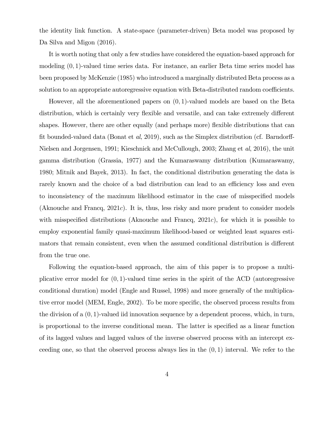the identity link function. A state-space (parameter-driven) Beta model was proposed by Da Silva and Migon  $(2016)$ .

It is worth noting that only a few studies have considered the equation-based approach for modeling  $(0, 1)$ -valued time series data. For instance, an earlier Beta time series model has been proposed by McKenzie (1985) who introduced a marginally distributed Beta process as a solution to an appropriate autoregressive equation with Beta-distributed random coefficients.

However, all the aforementioned papers on (0; 1)-valued models are based on the Beta distribution, which is certainly very flexible and versatile, and can take extremely different shapes. However, there are other equally (and perhaps more) flexible distributions that can fit bounded-valued data (Bonat et al, 2019), such as the Simplex distribution (cf. Barndorff-Nielsen and Jorgensen, 1991; Kieschnick and McCullough, 2003; Zhang et al, 2016), the unit gamma distribution (Grassia, 1977) and the Kumaraswamy distribution (Kumaraswamy, 1980; Mitnik and Bayek, 2013). In fact, the conditional distribution generating the data is rarely known and the choice of a bad distribution can lead to an efficiency loss and even to inconsistency of the maximum likelihood estimator in the case of misspecified models (Aknouche and Francq,  $2021c$ ). It is, thus, less risky and more prudent to consider models with misspecified distributions (Aknouche and Francq,  $2021c$ ), for which it is possible to employ exponential family quasi-maximum likelihood-based or weighted least squares estimators that remain consistent, even when the assumed conditional distribution is different from the true one.

Following the equation-based approach, the aim of this paper is to propose a multiplicative error model for  $(0, 1)$ -valued time series in the spirit of the ACD (autoregressive conditional duration) model (Engle and Russel, 1998) and more generally of the multiplicative error model (MEM, Engle, 2002). To be more specific, the observed process results from the division of a  $(0, 1)$ -valued iid innovation sequence by a dependent process, which, in turn, is proportional to the inverse conditional mean. The latter is specified as a linear function of its lagged values and lagged values of the inverse observed process with an intercept exceeding one, so that the observed process always lies in the  $(0,1)$  interval. We refer to the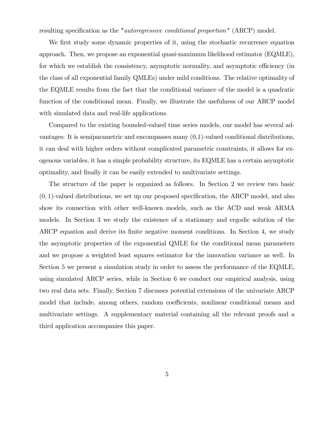resulting specification as the "*autoregressive conditional proportion*" (ARCP) model.

We first study some dynamic properties of it, using the stochastic recurrence equation approach. Then, we propose an exponential quasi-maximum likelihood estimator (EQMLE), for which we establish the consistency, asymptotic normality, and asymptotic efficiency (in the class of all exponential family QMLEs) under mild conditions. The relative optimality of the EQMLE results from the fact that the conditional variance of the model is a quadratic function of the conditional mean. Finally, we illustrate the usefulness of our ARCP model with simulated data and real-life applications.

Compared to the existing bounded-valued time series models, our model has several advantages: It is semiparametric and encompasses many (0,1)-valued conditional distributions, it can deal with higher orders without complicated parametric constraints, it allows for exogenous variables, it has a simple probability structure, its EQMLE has a certain asymptotic optimality, and Önally it can be easily extended to multivariate settings.

The structure of the paper is organized as follows. In Section 2 we review two basic  $(0, 1)$ -valued distributions, we set up our proposed specification, the ARCP model, and also show its connection with other well-known models, such as the ACD and weak ARMA models. In Section 3 we study the existence of a stationary and ergodic solution of the ARCP equation and derive its finite negative moment conditions. In Section 4, we study the asymptotic properties of the exponential QMLE for the conditional mean parameters and we propose a weighted least squares estimator for the innovation variance as well. In Section 5 we present a simulation study in order to assess the performance of the EQMLE, using simulated ARCP series, while in Section 6 we conduct our empirical analysis, using two real data sets. Finally, Section 7 discusses potential extensions of the univariate ARCP model that include, among others, random coefficients, nonlinear conditional means and multivariate settings. A supplementary material containing all the relevant proofs and a third application accompanies this paper.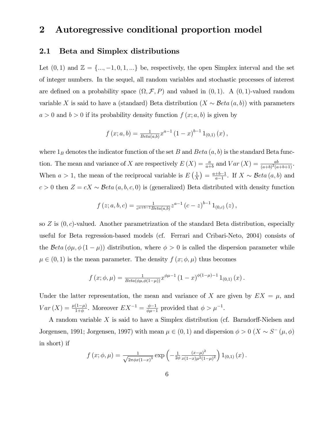# 2 Autoregressive conditional proportion model

#### 2.1 Beta and Simplex distributions

Let  $(0, 1)$  and  $\mathbb{Z} = \{\dots, -1, 0, 1, \dots\}$  be, respectively, the open Simplex interval and the set of integer numbers. In the sequel, all random variables and stochastic processes of interest are defined on a probability space  $(\Omega, \mathcal{F}, P)$  and valued in  $(0, 1)$ . A  $(0, 1)$ -valued random variable X is said to have a (standard) Beta distribution  $(X \sim \text{Beta}(a, b))$  with parameters  $a > 0$  and  $b > 0$  if its probability density function  $f(x; a, b)$  is given by

$$
f(x;a,b) = \frac{1}{Beta(a,b)} x^{a-1} (1-x)^{b-1} 1_{(0,1)} (x),
$$

where  $1_B$  denotes the indicator function of the set B and Beta  $(a, b)$  is the standard Beta function. The mean and variance of X are respectively  $E(X) = \frac{a}{a+b}$  and  $Var(X) = \frac{ab}{(a+b)^2(a+b+1)}$ . When  $a > 1$ , the mean of the reciprocal variable is  $E\left(\frac{1}{x}\right)$  $\frac{1}{X}$ ) =  $\frac{a+b-1}{a-1}$  $\frac{+b-1}{a-1}$ . If  $X \sim \mathcal{B}eta(a, b)$  and  $c > 0$  then  $Z = cX \sim Beta(a, b, c, 0)$  is (generalized) Beta distributed with density function

$$
f(z;a,b,c) = \frac{1}{c^{a+b-1}Beta(a,b)} z^{a-1} (c-z)^{b-1} 1_{(0,c)}(z),
$$

so  $Z$  is  $(0, c)$ -valued. Another parametrization of the standard Beta distribution, especially useful for Beta regression-based models (cf. Ferrari and Cribari-Neto, 2004) consists of the Beta  $(\phi\mu, \phi(1-\mu))$  distribution, where  $\phi > 0$  is called the dispersion parameter while  $\mu \in (0, 1)$  is the mean parameter. The density  $f(x; \phi, \mu)$  thus becomes

$$
f(x; \phi, \mu) = \frac{1}{Beta(\phi \mu, \phi(1-\mu))} x^{\phi \mu - 1} (1-x)^{\phi(1-\mu)-1} 1_{(0,1)} (x).
$$

Under the latter representation, the mean and variance of X are given by  $EX = \mu$ , and  $Var(X) = \frac{\mu(1-\mu)}{1+\phi}$ . Moreover  $EX^{-1} = \frac{\phi-1}{\phi\mu-1}$  $\frac{\phi-1}{\phi\mu-1}$  provided that  $\phi > \mu^{-1}$ .

A random variable X is said to have a Simplex distribution (cf. Barndorff-Nielsen and Jorgensen, 1991; Jorgensen, 1997) with mean  $\mu \in (0, 1)$  and dispersion  $\phi > 0$   $(X \sim S^{-1}(\mu, \phi))$ in short) if

$$
f(x; \phi, \mu) = \frac{1}{\sqrt{2\pi\phi x (1-x)^3}} \exp\left(-\frac{1}{2\phi} \frac{(x-\mu)^2}{x(1-x)\mu^2(1-\mu)^2}\right) 1_{(0,1)}(x).
$$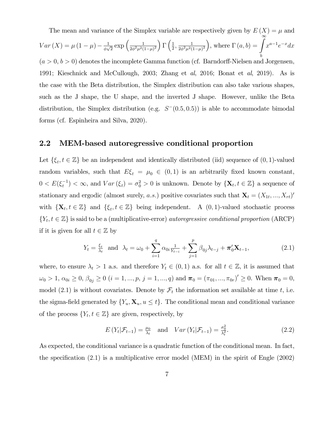The mean and variance of the Simplex variable are respectively given by  $E(X) = \mu$  and  $Var(X) = \mu (1 - \mu) - \frac{1}{\phi_Y}$  $\frac{1}{\phi\sqrt{2}}\exp\left(\frac{1}{2\phi^2\mu^2(}$  $\frac{1}{2\phi^2\mu^2(1-\mu)^2}\bigg) \Gamma\left(\frac{1}{2}\right)$  $\frac{1}{2}$ ,  $\frac{1}{2\phi^2\mu^2(}$  $\frac{1}{2\phi^2\mu^2(1-\mu)^2}$ , where  $\Gamma(a,b) = \int_a^{\infty}$ . b  $x^{a-1}e^{-x}dx$  $(a > 0, b > 0)$  denotes the incomplete Gamma function (cf. Barndorff-Nielsen and Jorgensen, 1991; Kieschnick and McCullough, 2003; Zhang et al, 2016; Bonat et al, 2019). As is the case with the Beta distribution, the Simplex distribution can also take various shapes, such as the J shape, the U shape, and the inverted J shape. However, unlike the Beta distribution, the Simplex distribution (e.g.  $S^-(0.5, 0.5)$ ) is able to accommodate bimodal forms (cf. Espinheira and Silva, 2020).

#### 2.2 MEM-based autoregressive conditional proportion

Let  $\{\xi_t, t \in \mathbb{Z}\}\$  be an independent and identically distributed (iid) sequence of  $(0, 1)$ -valued random variables, such that  $E\xi_t = \mu_0 \in (0,1)$  is an arbitrarily fixed known constant,  $0 < E(\xi_t^{-1}) < \infty$ , and  $Var(\xi_t) = \sigma_0^2 > 0$  is unknown. Denote by  $\{X_t, t \in \mathbb{Z}\}\$ a sequence of stationary and ergodic (almost surely, a.s.) positive covariates such that  $\mathbf{X}_t = (X_{1t},...,X_{rt})'$ with  $\{\mathbf X_t, t \in \mathbb{Z}\}\$  and  $\{\xi_t, t \in \mathbb{Z}\}\$  being independent. A  $(0, 1)$ -valued stochastic process  $\{Y_t, t \in \mathbb{Z}\}\)$  is said to be a (multiplicative-error) *autoregressive conditional proportion* (ARCP) if it is given for all  $t \in \mathbb{Z}$  by

$$
Y_t = \frac{\xi_t}{\lambda_t} \text{ and } \lambda_t = \omega_0 + \sum_{i=1}^q \alpha_{0i} \frac{1}{Y_{t-i}} + \sum_{j=1}^p \beta_{0j} \lambda_{t-j} + \pi'_0 \mathbf{X}_{t-1}, \tag{2.1}
$$

where, to ensure  $\lambda_t > 1$  a.s. and therefore  $Y_t \in (0,1)$  a.s. for all  $t \in \mathbb{Z}$ , it is assumed that  $\omega_0 > 1, \, \alpha_{0i} \geq 0, \, \beta_{0j} \geq 0 \,\, (i=1,...,p,\, j=1,...,q) \text{ and } \boldsymbol{\pi}_0 = (\pi_{01},...,\pi_{0r})' \geq 0. \, \text{ When } \boldsymbol{\pi}_0 = 0,$ model (2.1) is without covariates. Denote by  $\mathcal{F}_t$  the information set available at time t, i.e. the sigma-field generated by  $\{Y_u, \mathbf{X}_u, u \leq t\}$ . The conditional mean and conditional variance of the process  $\{Y_t, t \in \mathbb{Z}\}\$  are given, respectively, by

$$
E(Y_t|\mathcal{F}_{t-1}) = \frac{\mu_0}{\lambda_t} \quad \text{and} \quad Var(Y_t|\mathcal{F}_{t-1}) = \frac{\sigma_0^2}{\lambda_t^2}.
$$
 (2.2)

As expected, the conditional variance is a quadratic function of the conditional mean. In fact, the specification  $(2.1)$  is a multiplicative error model (MEM) in the spirit of Engle  $(2002)$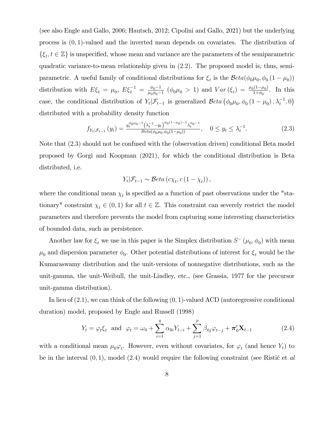(see also Engle and Gallo, 2006; Hautsch, 2012; Cipolini and Gallo, 2021) but the underlying process is  $(0, 1)$ -valued and the inverted mean depends on covariates. The distribution of  $\{\xi_t, t \in \mathbb{Z}\}$  is unspecified, whose mean and variance are the parameters of the semiparametric quadratic variance-to-mean relationship given in (2:2). The proposed model is, thus, semiparametric. A useful family of conditional distributions for  $\xi_t$  is the  $Beta(\phi_0\mu_0, \phi_0(1-\mu_0))$ distribution with  $E\xi_t = \mu_0, E\xi_t^{-1} = \frac{\phi_0 - 1}{\mu_0 \phi_0 - 1}$  $\frac{\phi_0 - 1}{\mu_0 \phi_0 - 1}$  ( $\phi_0 \mu_0 > 1$ ) and  $Var(\xi_t) = \frac{\mu_0 (1 - \mu_0)}{1 + \phi_0}$  $\frac{11-\mu_0}{1+\phi_0}$ . In this case, the conditional distribution of  $Y_t | \mathcal{F}_{t-1}$  is generalized  $\mathcal{B}eta (\phi_0 \mu_0, \phi_0 (1 - \mu_0), \lambda_t^{-1}, 0)$ distributed with a probability density function

$$
f_{Y_t|\mathcal{F}_{t-1}}(y_t) = \frac{y_t^{\phi_0\mu_0 - 1} \left(\lambda_t^{-1} - y_t\right)^{\phi_0(1-\mu_0) - 1} \lambda_t^{\phi_0 - 1}}{\text{Beta}(\phi_0\mu_0, \phi_0(1-\mu_0))}, \quad 0 \le y_t \le \lambda_t^{-1}.
$$
 (2.3)

Note that (2:3) should not be confused with the (observation driven) conditional Beta model proposed by Gorgi and Koopman (2021), for which the conditional distribution is Beta distributed, i.e.

$$
Y_t | \mathcal{F}_{t-1} \sim \mathcal{B}eta\left(c\chi_t, c\left(1 - \chi_t\right)\right),
$$

where the conditional mean  $\chi_t$  is specified as a function of past observations under the "stationary" constraint  $\chi_t \in (0,1)$  for all  $t \in \mathbb{Z}$ . This constraint can severely restrict the model parameters and therefore prevents the model from capturing some interesting characteristics of bounded data, such as persistence.

Another law for  $\xi_t$  we use in this paper is the Simplex distribution  $S^-(\mu_0, \phi_0)$  with mean  $\mu_0$  and dispersion parameter  $\phi_0$ . Other potential distributions of interest for  $\xi_t$  would be the Kumaraswamy distribution and the unit-versions of nonnegative distributions, such as the unit-gamma, the unit-Weibull, the unit-Lindley, etc., (see Grassia, 1977 for the precursor unit-gamma distribution).

In lieu of  $(2.1)$ , we can think of the following  $(0, 1)$ -valued ACD (autoregressive conditional duration) model, proposed by Engle and Russell (1998)

$$
Y_t = \varphi_t \xi_t \text{ and } \varphi_t = \omega_0 + \sum_{i=1}^q \alpha_{0i} Y_{t-i} + \sum_{j=1}^p \beta_{0j} \varphi_{t-j} + \pi'_0 \mathbf{X}_{t-1}
$$
 (2.4)

with a conditional mean  $\mu_0 \varphi_t$ . However, even without covariates, for  $\varphi_t$  (and hence  $Y_t$ ) to be in the interval  $(0, 1)$ , model  $(2.4)$  would require the following constraint (see Ristic et al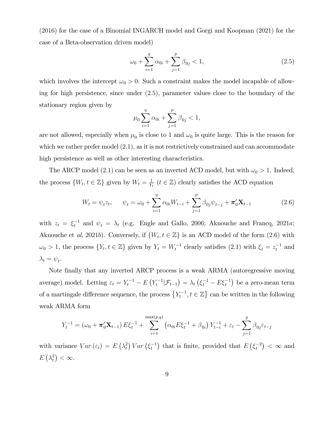(2016) for the case of a Binomial INGARCH model and Gorgi and Koopman (2021) for the case of a Beta-observation driven model)

$$
\omega_0 + \sum_{i=1}^q \alpha_{0i} + \sum_{j=1}^p \beta_{0j} < 1,\tag{2.5}
$$

which involves the intercept  $\omega_0 > 0$ . Such a constraint makes the model incapable of allowing for high persistence, since under  $(2.5)$ , parameter values close to the boundary of the stationary region given by

$$
\mu_0 \sum_{i=1}^q \alpha_{0i} + \sum_{j=1}^p \beta_{0j} < 1,
$$

are not allowed, especially when  $\mu_0$  is close to 1 and  $\omega_0$  is quite large. This is the reason for which we rather prefer model  $(2.1)$ , as it is not restrictively constrained and can accommodate high persistence as well as other interesting characteristics.

The ARCP model (2.1) can be seen as an inverted ACD model, but with  $\omega_0 > 1$ . Indeed, the process  $\{W_t, t \in \mathbb{Z}\}\$  given by  $W_t = \frac{1}{Y_t}$  $\frac{1}{Y_t}$  ( $t \in \mathbb{Z}$ ) clearly satisfies the ACD equation

$$
W_t = \psi_t z_t, \qquad \psi_t = \omega_0 + \sum_{i=1}^q \alpha_{0i} W_{t-i} + \sum_{j=1}^p \beta_{0j} \psi_{t-j} + \pi'_0 \mathbf{X}_{t-1}
$$
(2.6)

with  $z_t = \xi_t^{-1}$  and  $\psi_t = \lambda_t$  (e.g. Engle and Gallo, 2006; Aknouche and Francq, 2021a; Aknouche et al, 2021b). Conversely, if  $\{W_t, t \in \mathbb{Z}\}$  is an ACD model of the form  $(2.6)$  with  $\omega_0 > 1$ , the process  $\{Y_t, t \in \mathbb{Z}\}\$  given by  $Y_t = W_t^{-1}$  clearly satisfies (2.1) with  $\xi_t = z_t^{-1}$  and  $\lambda_t = \psi_t.$ 

Note finally that any inverted ARCP process is a weak ARMA (autoregressive moving average) model. Letting  $\varepsilon_t = Y_t^{-1} - E(Y_t^{-1} | \mathcal{F}_{t-1}) = \lambda_t (\xi_t^{-1} - E \xi_t^{-1})$  be a zero-mean term of a martingale difference sequence, the process  $\{Y_t^{-1}, t \in \mathbb{Z}\}$  can be written in the following weak ARMA form

$$
Y_t^{-1} = (\omega_0 + \pi'_0 \mathbf{X}_{t-1}) E \xi_t^{-1} + \sum_{i=1}^{\max(p,q)} (\alpha_{0i} E \xi_t^{-1} + \beta_{0i}) Y_{t-i}^{-1} + \varepsilon_t - \sum_{j=1}^p \beta_{0j} \varepsilon_{t-j}
$$

with variance  $Var(\varepsilon_t) = E(\lambda_t^2) Var(\xi_t^{-1})$  that is finite, provided that  $E(\xi_t^{-2}) < \infty$  and  $E\left(\lambda_t^2\right)<\infty.$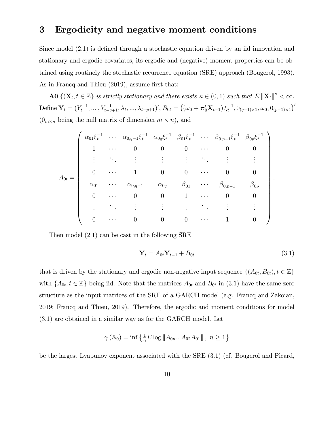### 3 Ergodicity and negative moment conditions

Since model  $(2.1)$  is defined through a stochastic equation driven by an iid innovation and stationary and ergodic covariates, its ergodic and (negative) moment properties can be obtained using routinely the stochastic recurrence equation (SRE) approach (Bougerol, 1993). As in Francq and Thieu (2019), assume first that:

**A0**  $\{(\mathbf{X}_t, t \in \mathbb{Z}\}\)$  is strictly stationary and there exists  $\kappa \in (0, 1)$  such that  $E\|\mathbf{X}_t\|^{\kappa} < \infty$ . Define  $\mathbf{Y}_t = (Y_t^{-1}, \dots, Y_{t-q+1}^{-1}, \lambda_t, \dots, \lambda_{t-p+1})'$ ,  $B_{0t} = ((\omega_0 + \pi'_0 \mathbf{X}_{t-1}) \xi_t^{-1}, 0_{(q-1)\times 1}, \omega_0, 0_{(p-1)\times 1})'$  $(0_{m \times n}$  being the null matrix of dimension  $m \times n$ ), and

$$
A_{0t} = \begin{pmatrix} \alpha_{01}\xi_t^{-1} & \cdots & \alpha_{0,q-1}\xi_t^{-1} & \alpha_{0q}\xi_t^{-1} & \beta_{01}\xi_t^{-1} & \cdots & \beta_{0,p-1}\xi_t^{-1} & \beta_{0p}\xi_t^{-1} \\ 1 & \cdots & 0 & 0 & 0 & \cdots & 0 & 0 \\ \vdots & \ddots & \vdots & \vdots & \vdots & \ddots & \vdots & \vdots \\ 0 & \cdots & 1 & 0 & 0 & \cdots & 0 & 0 \\ \alpha_{01} & \cdots & \alpha_{0,q-1} & \alpha_{0q} & \beta_{01} & \cdots & \beta_{0,p-1} & \beta_{0p} \\ 0 & \cdots & 0 & 0 & 1 & \cdots & 0 & 0 \\ \vdots & \vdots & \vdots & \vdots & \vdots & \vdots & \vdots & \vdots \\ 0 & \cdots & 0 & 0 & 0 & \cdots & 1 & 0 \end{pmatrix}
$$

Then model  $(2.1)$  can be cast in the following SRE

$$
\mathbf{Y}_t = A_{0t} \mathbf{Y}_{t-1} + B_{0t} \tag{3.1}
$$

:

that is driven by the stationary and ergodic non-negative input sequence  $\{(A_{0t}, B_{0t}), t \in \mathbb{Z}\}\$ with  $\{A_{0t}, t \in \mathbb{Z}\}\)$  being iid. Note that the matrices  $A_{0t}$  and  $B_{0t}$  in (3.1) have the same zero structure as the input matrices of the SRE of a GARCH model (e.g. Francq and Zakoian, 2019; Francq and Thieu, 2019). Therefore, the ergodic and moment conditions for model (3:1) are obtained in a similar way as for the GARCH model. Let

$$
\gamma\left(\mathbb{A}_{0}\right)=\inf\left\{ \tfrac{1}{n}E\log\left\Vert A_{0n}...A_{02}A_{01}\right\Vert ,\ n\geq1\right\}
$$

be the largest Lyapunov exponent associated with the SRE (3:1) (cf. Bougerol and Picard,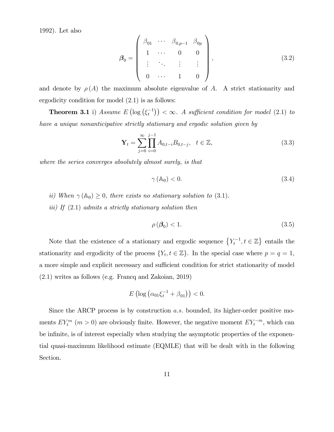1992). Let also

$$
\beta_0 = \begin{pmatrix} \beta_{01} & \cdots & \beta_{0,p-1} & \beta_{0p} \\ 1 & \cdots & 0 & 0 \\ \vdots & \ddots & \vdots & \vdots \\ 0 & \cdots & 1 & 0 \end{pmatrix},
$$
(3.2)

and denote by  $\rho(A)$  the maximum absolute eigenvalue of A. A strict stationarity and ergodicity condition for model  $(2.1)$  is as follows:

**Theorem 3.1** i) Assume  $E\left(\log\left(\xi_t^{-1}\right)\right) < \infty$ . A sufficient condition for model (2.1) to have a unique nonanticipative strictly stationary and ergodic solution given by

$$
\mathbf{Y}_{t} = \sum_{j=0}^{\infty} \prod_{i=0}^{j-1} A_{0,t-i} B_{0,t-j}, \quad t \in \mathbb{Z},
$$
\n(3.3)

where the series converges absolutely almost surely, is that

$$
\gamma(\mathbb{A}_0) < 0. \tag{3.4}
$$

- ii) When  $\gamma(\mathbb{A}_0) \geq 0$ , there exists no stationary solution to (3.1).
- iii) If  $(2.1)$  admits a strictly stationary solution then

$$
\rho\left(\boldsymbol{\beta}_{0}\right) < 1. \tag{3.5}
$$

Note that the existence of a stationary and ergodic sequence  $\{Y_t^{-1}, t \in \mathbb{Z}\}\$  entails the stationarity and ergodicity of the process  $\{Y_t, t \in \mathbb{Z}\}$ . In the special case where  $p = q = 1$ , a more simple and explicit necessary and sufficient condition for strict stationarity of model (2:1) writes as follows (e.g. Francq and Zakoian, 2019)

$$
E\left(\log\left(\alpha_{01}\xi_t^{-1}+\beta_{01}\right)\right)<0.
$$

Since the ARCP process is by construction *a.s.* bounded, its higher-order positive moments  $EY_t^m$  ( $m > 0$ ) are obviously finite. However, the negative moment  $EY_t^{-m}$ , which can be infinite, is of interest especially when studying the asymptotic properties of the exponential quasi-maximum likelihood estimate (EQMLE) that will be dealt with in the following Section.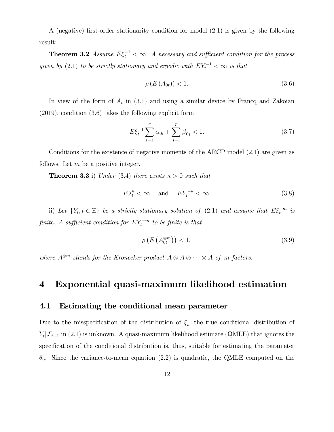A (negative) Örst-order stationarity condition for model (2:1) is given by the following result:

**Theorem 3.2** Assume  $E\xi_t^{-1} < \infty$ . A necessary and sufficient condition for the process given by (2.1) to be strictly stationary and ergodic with  $EY_t^{-1} < \infty$  is that

$$
\rho\left(E\left(A_{0t}\right)\right) < 1. \tag{3.6}
$$

In view of the form of  $A_t$  in (3.1) and using a similar device by Francq and Zakoian (2019), condition (3:6) takes the following explicit form

$$
E\xi_t^{-1} \sum_{i=1}^q \alpha_{0i} + \sum_{j=1}^p \beta_{0j} < 1. \tag{3.7}
$$

Conditions for the existence of negative moments of the ARCP model  $(2.1)$  are given as follows. Let  $m$  be a positive integer.

**Theorem 3.3** i) Under (3.4) there exists  $\kappa > 0$  such that

$$
E\lambda_t^{\kappa} < \infty \quad \text{ and } \quad EY_t^{-\kappa} < \infty. \tag{3.8}
$$

ii) Let  $\{Y_t, t \in \mathbb{Z}\}\$ be a strictly stationary solution of  $(2.1)$  and assume that  $E\xi_t^{-m}$  is finite. A sufficient condition for  $EY_t^{-m}$  to be finite is that

$$
\rho\left(E\left(A_{0t}^{\otimes m}\right)\right) < 1,\tag{3.9}
$$

where  $A^{\otimes m}$  stands for the Kronecker product  $A \otimes A \otimes \cdots \otimes A$  of m factors.

# 4 Exponential quasi-maximum likelihood estimation

### 4.1 Estimating the conditional mean parameter

Due to the misspecification of the distribution of  $\xi_t$ , the true conditional distribution of  $Y_t | \mathcal{F}_{t-1}$  in (2.1) is unknown. A quasi-maximum likelihood estimate (QMLE) that ignores the specification of the conditional distribution is, thus, suitable for estimating the parameter  $\theta_0$ . Since the variance-to-mean equation (2.2) is quadratic, the QMLE computed on the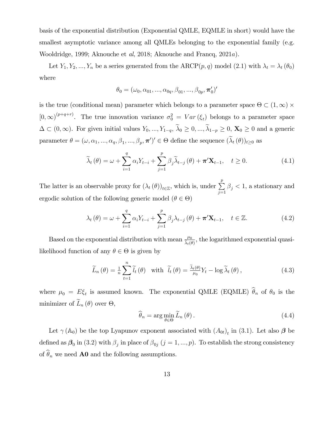basis of the exponential distribution (Exponential QMLE, EQMLE in short) would have the smallest asymptotic variance among all QMLEs belonging to the exponential family (e.g. Wooldridge, 1999; Aknouche et al, 2018; Aknouche and Francq, 2021a).

Let  $Y_1, Y_2, ..., Y_n$  be a series generated from the ARCP $(p, q)$  model  $(2.1)$  with  $\lambda_t = \lambda_t (\theta_0)$ where

$$
\theta_0 = (\omega_0, \alpha_{01}, ..., \alpha_{0q}, \beta_{01}, ..., \beta_{0p}, \pi'_0)'
$$

is the true (conditional mean) parameter which belongs to a parameter space  $\Theta \subset (1,\infty) \times$  $[0,\infty)^{(p+q+r)}$ . The true innovation variance  $\sigma_0^2 = Var(\xi_t)$  belongs to a parameter space  $\Delta \subset (0,\infty)$ . For given initial values  $Y_0, ..., Y_{1-q}, \tilde{\lambda}_0 \geq 0, ..., \tilde{\lambda}_{1-p} \geq 0$ ,  $\mathbf{X}_0 \geq 0$  and a generic parameter  $\theta = (\omega, \alpha_1, ..., \alpha_q, \beta_1, ..., \beta_p, \pi')' \in \Theta$  define the sequence  $(\lambda_t(\theta))_{t \geq 0}$  as

$$
\widetilde{\lambda}_{t}(\theta) = \omega + \sum_{i=1}^{q} \alpha_{i} Y_{t-i} + \sum_{j=1}^{p} \beta_{j} \widetilde{\lambda}_{t-j}(\theta) + \pi' \mathbf{X}_{t-1}, \quad t \ge 0.
$$
\n(4.1)

The latter is an observable proxy for  $(\lambda_t(\theta))_{t\in\mathbb{Z}}$ , which is, under  $\sum_{i=1}^p$  $\sum_{j=1} \beta_j < 1$ , a stationary and ergodic solution of the following generic model  $(\theta \in \Theta)$ 

$$
\lambda_{t}(\theta) = \omega + \sum_{i=1}^{q} \alpha_{i} Y_{t-i} + \sum_{j=1}^{p} \beta_{j} \lambda_{t-j}(\theta) + \boldsymbol{\pi}' \mathbf{X}_{t-1}, \quad t \in \mathbb{Z}.
$$
 (4.2)

Based on the exponential distribution with mean  $\frac{\mu_0}{\tilde{\lambda}_t(\theta)}$ , the logarithmed exponential quasilikelihood function of any  $\theta \in \Theta$  is given by

$$
\widetilde{L}_n(\theta) = \frac{1}{n} \sum_{t=1}^n \widetilde{l}_t(\theta) \quad \text{with} \quad \widetilde{l}_t(\theta) = \frac{\widetilde{\lambda}_t(\theta)}{\mu_0} Y_t - \log \widetilde{\lambda}_t(\theta), \tag{4.3}
$$

where  $\mu_0 = E \xi_t$  is assumed known. The exponential QMLE (EQMLE)  $\theta_n$  of  $\theta_0$  is the minimizer of  $L_n(\theta)$  over  $\Theta$ ,

$$
\widehat{\theta}_n = \arg\min_{\theta \in \Theta} \widetilde{L}_n(\theta).
$$
\n(4.4)

Let  $\gamma$  ( $\mathbb{A}_0$ ) be the top Lyapunov exponent associated with  $(A_{0t})_t$  in (3.1). Let also  $\beta$  be defined as  $\beta_0$  in (3.2) with  $\beta_j$  in place of  $\beta_{0j}$   $(j = 1, ..., p)$ . To establish the strong consistency of  $\hat{\theta}_n$  we need **A0** and the following assumptions.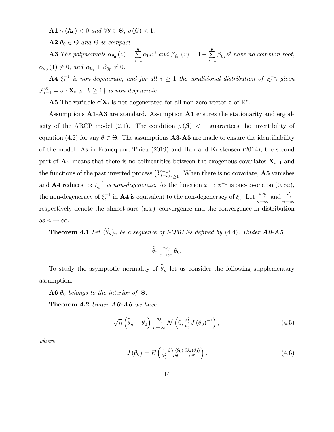**A1**  $\gamma$  ( $\mathbb{A}_0$ ) < 0 and  $\forall \theta \in \Theta$ ,  $\rho$  ( $\beta$ ) < 1.

 $A2 \theta_0 \in \Theta$  and  $\Theta$  is compact.

**A3** The polynomials  $\alpha_{\theta_0}(z) = \sum^q$  $i=1$  $\alpha_{0i}z^i$  and  $\beta_{\theta_0}(z)=1-\sum_{i=1}^p$  $\sum_{j=1}^{\infty} \beta_{0j} z^j$  have no common root,  $\alpha_{\theta_0}(1) \neq 0$ , and  $\alpha_{0q} + \beta_{0p} \neq 0$ .

**A4**  $\xi_t^{-1}$  is non-degenerate, and for all  $i \geq 1$  the conditional distribution of  $\xi_{t-i}^{-1}$  given  $\mathcal{F}_{t-1}^X = \sigma \left\{ \mathbf{X}_{t-k}, \ k \geq 1 \right\}$  is non-degenerate.

**A5** The variable  $\mathbf{c}'\mathbf{X}_t$  is not degenerated for all non-zero vector **c** of  $\mathbb{R}^r$ .

Assumptions  $\mathbf{A1}$ - $\mathbf{A3}$  are standard. Assumption  $\mathbf{A1}$  ensures the stationarity and ergodicity of the ARCP model (2.1). The condition  $\rho(\boldsymbol{\beta}) < 1$  guarantees the invertibility of equation (4.2) for any  $\theta \in \Theta$ . The assumptions **A3-A5** are made to ensure the identifiability of the model. As in Francq and Thieu (2019) and Han and Kristensen (2014), the second part of **A4** means that there is no colinearities between the exogenous covariates  $X_{t-1}$  and the functions of the past inverted process  $(Y_{t-i}^{-1})$  $i_{\geq 1}$ . When there is no covariate, **A5** vanishes and **A4** reduces to:  $\xi_t^{-1}$  is non-degenerate. As the function  $x \mapsto x^{-1}$  is one-to-one on  $(0, \infty)$ , the non-degeneracy of  $\xi_t^{-1}$  in **A4** is equivalent to the non-degeneracy of  $\xi_t$ . Let  $\stackrel{a.s.}{\to}$  and  $\stackrel{\mathcal{D}}{\to}$ respectively denote the almost sure (a.s.) convergence and the convergence in distribution as  $n \to \infty.$ 

**Theorem 4.1** Let  $(\widehat{\theta}_n)_n$  be a sequence of EQMLEs defined by (4.4). Under  $\mathbf{A0}$ - $\mathbf{A5}$ ,

$$
\widehat{\theta}_n \underset{n\to\infty}{\overset{a.s.}{\to}} \theta_0.
$$

To study the asymptotic normality of  $\widehat{\theta}_n$  let us consider the following supplementary assumption.

**A6**  $\theta_0$  belongs to the interior of  $\Theta$ .

**Theorem 4.2** Under  $\bf{A0-}\bf{A6}$  we have

$$
\sqrt{n}\left(\widehat{\theta}_n - \theta_0\right) \underset{n \to \infty}{\xrightarrow{D}} \mathcal{N}\left(0, \frac{\sigma_0^2}{\mu_0^2} J\left(\theta_0\right)^{-1}\right),\tag{4.5}
$$

where

$$
J(\theta_0) = E\left(\frac{1}{\lambda_t^2} \frac{\partial \lambda_t(\theta_0)}{\partial \theta} \frac{\partial \lambda_t(\theta_0)}{\partial \theta'}\right).
$$
 (4.6)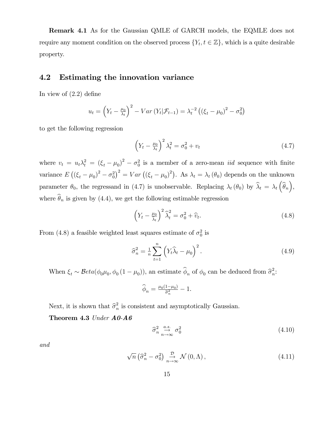Remark 4.1 As for the Gaussian QMLE of GARCH models, the EQMLE does not require any moment condition on the observed process  $\{Y_t, t \in \mathbb{Z}\}$ , which is a quite desirable property.

### 4.2 Estimating the innovation variance

In view of  $(2.2)$  define

$$
u_t = \left(Y_t - \frac{\mu_0}{\lambda_t}\right)^2 - Var\left(Y_t|\mathcal{F}_{t-1}\right) = \lambda_t^{-2}\left(\left(\xi_t - \mu_0\right)^2 - \sigma_0^2\right)
$$

to get the following regression

$$
\left(Y_t - \frac{\mu_0}{\lambda_t}\right)^2 \lambda_t^2 = \sigma_0^2 + v_t \tag{4.7}
$$

where  $v_t = u_t \lambda_t^2 = (\xi_t - \mu_0)^2 - \sigma_0^2$  is a member of a zero-mean *iid* sequence with finite variance  $E((\xi_t - \mu_0)^2 - \sigma_0^2)^2 = Var((\xi_t - \mu_0)^2)$ . As  $\lambda_t = \lambda_t(\theta_0)$  depends on the unknown parameter  $\theta_0$ , the regressand in (4.7) is unobservable. Replacing  $\lambda_t(\theta_0)$  by  $\widehat{\lambda}_t = \lambda_t(\widehat{\theta}_n)$ , where  $\widehat{\theta}_n$  is given by (4.4), we get the following estimable regression

$$
\left(Y_t - \frac{\mu_0}{\hat{\lambda}_t}\right)^2 \hat{\lambda}_t^2 = \sigma_0^2 + \hat{v}_t.
$$
\n(4.8)

From (4.8) a feasible weighted least squares estimate of  $\sigma_0^2$  is

$$
\widehat{\sigma}_n^2 = \frac{1}{n} \sum_{t=1}^n \left( Y_t \widehat{\lambda}_t - \mu_0 \right)^2.
$$
 (4.9)

When  $\xi_t \sim Beta(\phi_0 \mu_0, \phi_0 (1 - \mu_0))$ , an estimate  $\hat{\phi}_n$  of  $\phi_0$  can be deduced from  $\hat{\sigma}_n^2$  $\frac{2}{n}$ :

$$
\widehat{\phi}_n = \tfrac{\mu_0(1-\mu_0)}{\widehat{\sigma}_n^2} - 1.
$$

Next, it is shown that  $\hat{\sigma}_n^2$  $\frac{1}{n}$  is consistent and asymptotically Gaussian.

Theorem 4.3 Under  $A0-AG$ 

$$
\widehat{\sigma}_n^2 \underset{n \to \infty}{\overset{a.s.}{\to}} \sigma_0^2 \tag{4.10}
$$

and

$$
\sqrt{n}\left(\widehat{\sigma}_n^2-\sigma_0^2\right)\underset{n\to\infty}{\xrightarrow{D}}\mathcal{N}\left(0,\Lambda\right),\tag{4.11}
$$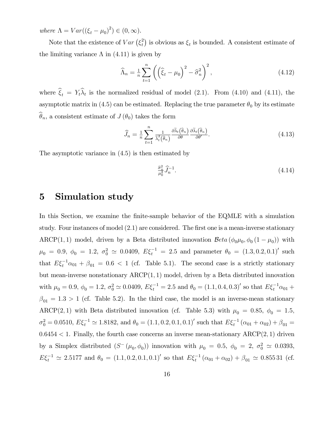where  $\Lambda = Var((\xi_t - \mu_0)^2) \in (0, \infty)$ .

Note that the existence of  $Var(\xi_t^2)$  is obvious as  $\xi_t$  is bounded. A consistent estimate of the limiting variance  $\Lambda$  in (4.11) is given by

$$
\widehat{\Lambda}_n = \frac{1}{n} \sum_{t=1}^n \left( \left( \widehat{\xi}_t - \mu_0 \right)^2 - \widehat{\sigma}_n^2 \right)^2, \tag{4.12}
$$

where  $\xi_t = Y_t \lambda_t$  is the normalized residual of model (2.1). From (4.10) and (4.11), the asymptotic matrix in (4.5) can be estimated. Replacing the true parameter  $\theta_0$  by its estimate  $\widehat{\theta}_n$ , a consistent estimate of  $J(\theta_0)$  takes the form

$$
\widehat{J}_n = \frac{1}{n} \sum_{t=1}^n \frac{1}{\widetilde{\lambda}_t^2(\widehat{\theta}_n)} \frac{\partial \widetilde{\lambda}_t(\widehat{\theta}_n)}{\partial \theta} \frac{\partial \widetilde{\lambda}_t(\widehat{\theta}_n)}{\partial \theta'}.
$$
\n(4.13)

The asymptotic variance in (4:5) is then estimated by

$$
\frac{\hat{\sigma}_n^2}{\mu_0^2} \hat{J}_n^{-1}.\tag{4.14}
$$

# 5 Simulation study

In this Section, we examine the finite-sample behavior of the EQMLE with a simulation study. Four instances of model  $(2.1)$  are considered. The first one is a mean-inverse stationary ARCP(1,1) model, driven by a Beta distributed innovation  $Beta(\phi_0\mu_0, \phi_0(1-\mu_0))$  with  $\mu_0 = 0.9, \ \phi_0 = 1.2, \ \sigma_0^2 \simeq 0.0409, \ E \xi_t^{-1} = 2.5 \text{ and parameter } \theta_0 = (1.3, 0.2, 0.1)' \text{ such}$ that  $E\xi_t^{-1}\alpha_{01} + \beta_{01} = 0.6 < 1$  (cf. Table 5.1). The second case is a strictly stationary but mean-inverse nonstationary  $ARCP(1, 1)$  model, driven by a Beta distributed innovation with  $\mu_0 = 0.9, \phi_0 = 1.2, \sigma_0^2 \simeq 0.0409, E\xi_t^{-1} = 2.5$  and  $\theta_0 = (1.1, 0.4, 0.3)'$  so that  $E\xi_t^{-1}\alpha_{01} +$  $\beta_{01} = 1.3 > 1$  (cf. Table 5.2). In the third case, the model is an inverse-mean stationary ARCP(2,1) with Beta distributed innovation (cf. Table 5.3) with  $\mu_0 = 0.85$ ,  $\phi_0 = 1.5$ ,  $\sigma_0^2 = 0.0510, E\xi_t^{-1} \simeq 1.8182$ , and  $\theta_0 = (1.1, 0.2, 0.1, 0.1)'$  such that  $E\xi_t^{-1}(\alpha_{01} + \alpha_{02}) + \beta_{01} =$  $0.6454 < 1$ . Finally, the fourth case concerns an inverse mean-stationary ARCP $(2, 1)$  driven by a Simplex distributed  $(S^-(\mu_0, \phi_0))$  innovation with  $\mu_0 = 0.5$ ,  $\phi_0 = 2$ ,  $\sigma_0^2 \simeq 0.0393$ ,  $E\xi_t^{-1} \simeq 2.5177$  and  $\theta_0 = (1.1, 0.2, 0.1, 0.1)'$  so that  $E\xi_t^{-1}(\alpha_{01} + \alpha_{02}) + \beta_{01} \simeq 0.85531$  (cf.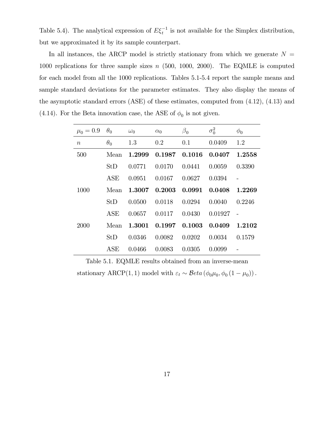Table 5.4). The analytical expression of  $E\xi_t^{-1}$  is not available for the Simplex distribution, but we approximated it by its sample counterpart.

In all instances, the ARCP model is strictly stationary from which we generate  $N =$ 1000 replications for three sample sizes  $n$  (500, 1000, 2000). The EQMLE is computed for each model from all the 1000 replications. Tables 5.1-5.4 report the sample means and sample standard deviations for the parameter estimates. They also display the means of the asymptotic standard errors  $(ASE)$  of these estimates, computed from  $(4.12)$ ,  $(4.13)$  and (4.14). For the Beta innovation case, the ASE of  $\phi_0$  is not given.

| $\mu_0 = 0.9$    | $\theta_0$ | $\omega_0$ | $\alpha_0$ | $\beta_0$ | $\sigma_0^2$ | $\phi_0$ |
|------------------|------------|------------|------------|-----------|--------------|----------|
| $\boldsymbol{n}$ | $\theta_0$ | 1.3        | 0.2        | 0.1       | 0.0409       | 1.2      |
| 500              | Mean       | 1.2999     | 0.1987     | 0.1016    | 0.0407       | 1.2558   |
|                  | StD        | 0.0771     | 0.0170     | 0.0441    | 0.0059       | 0.3390   |
|                  | ASE        | 0.0951     | 0.0167     | 0.0627    | 0.0394       |          |
| 1000             | Mean       | 1.3007     | 0.2003     | 0.0991    | 0.0408       | 1.2269   |
|                  | StD        | 0.0500     | 0.0118     | 0.0294    | 0.0040       | 0.2246   |
|                  | ASE        | 0.0657     | 0.0117     | 0.0430    | 0.01927      |          |
| 2000             | Mean       | 1.3001     | 0.1997     | 0.1003    | 0.0409       | 1.2102   |
|                  | StD        | 0.0346     | 0.0082     | 0.0202    | 0.0034       | 0.1579   |
|                  | ASE        | 0.0466     | 0.0083     | 0.0305    | 0.0099       |          |

Table 5.1. EQMLE results obtained from an inverse-mean stationary ARCP(1, 1) model with  $\varepsilon_t \sim \mathcal{B}eta(\phi_0, \phi_0(1-\mu_0))$ .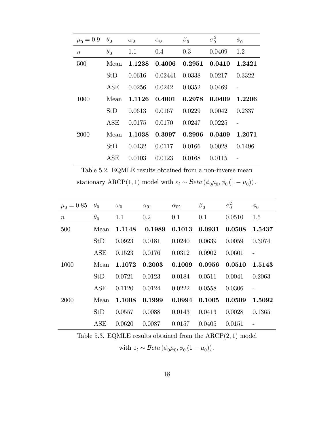| $\mu_0 = 0.9$ | $\theta_0$ | $\omega_0$ | $\alpha_0$ | $\beta_0$ | $\sigma_0^2$ | $\phi_0$ |
|---------------|------------|------------|------------|-----------|--------------|----------|
| $\,n$         | $\theta_0$ | 1.1        | 0.4        | 0.3       | 0.0409       | 1.2      |
| 500           | Mean       | 1.1238     | 0.4006     | 0.2951    | 0.0410       | 1.2421   |
|               | StD        | 0.0616     | 0.02441    | 0.0338    | 0.0217       | 0.3322   |
|               | ASE        | 0.0256     | 0.0242     | 0.0352    | 0.0469       |          |
| 1000          | Mean       | 1.1126     | 0.4001     | 0.2978    | 0.0409       | 1.2206   |
|               | StD        | 0.0613     | 0.0167     | 0.0229    | 0.0042       | 0.2337   |
|               | ASE        | 0.0175     | 0.0170     | 0.0247    | 0.0225       |          |
| 2000          | Mean       | 1.1038     | 0.3997     | 0.2996    | 0.0409       | 1.2071   |
|               | StD        | 0.0432     | 0.0117     | 0.0166    | 0.0028       | 0.1496   |
|               | ASE        | 0.0103     | 0.0123     | 0.0168    | 0.0115       |          |

Table 5.2. EQMLE results obtained from a non-inverse mean stationary ARCP(1, 1) model with  $\varepsilon_t \sim \mathcal{B}eta(\phi_0, \phi_0(1-\mu_0))$ .

| $\mu_0 = 0.85$   | $\theta_0$ | $\omega_0$ | $\alpha_{01}$ | $\alpha_{02}$ | $\beta_0$ | $\sigma_0^2$ | $\phi_0$ |
|------------------|------------|------------|---------------|---------------|-----------|--------------|----------|
| $\boldsymbol{n}$ | $\theta_0$ | 1.1        | 0.2           | 0.1           | 0.1       | 0.0510       | 1.5      |
| 500              | Mean       | 1.1148     | 0.1989        | 0.1013        | 0.0931    | 0.0508       | 1.5437   |
|                  | StD        | 0.0923     | 0.0181        | 0.0240        | 0.0639    | 0.0059       | 0.3074   |
|                  | <b>ASE</b> | 0.1523     | 0.0176        | 0.0312        | 0.0902    | 0.0601       |          |
| 1000             | Mean       | 1.1072     | 0.2003        | 0.1009        | 0.0956    | 0.0510       | 1.5143   |
|                  | StD        | 0.0721     | 0.0123        | 0.0184        | 0.0511    | 0.0041       | 0.2063   |
|                  | <b>ASE</b> | 0.1120     | 0.0124        | 0.0222        | 0.0558    | 0.0306       |          |
| 2000             | Mean       | 1.1008     | 0.1999        | 0.0994        | 0.1005    | 0.0509       | 1.5092   |
|                  | StD        | 0.0557     | 0.0088        | 0.0143        | 0.0413    | 0.0028       | 0.1365   |
|                  | ASE        | 0.0620     | 0.0087        | 0.0157        | 0.0405    | 0.0151       |          |

Table 5.3. EQMLE results obtained from the  $ARCP(2, 1)$  model with  $\varepsilon_t \sim \mathcal{B}eta \left( \phi_0 \mu_0, \phi_0 \left( 1 - \mu_0 \right) \right)$ .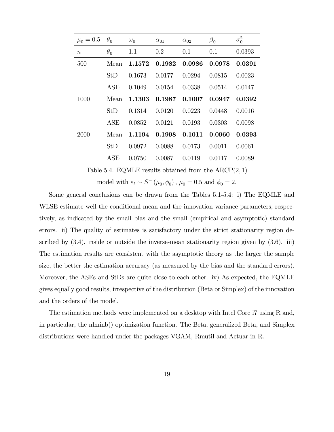| $\mu_0 = 0.5$    | $\theta_0$ | $\omega_0$ | $\alpha_{01}$ | $\alpha_{02}$ | $\beta_0$ | $\sigma_0^2$ |
|------------------|------------|------------|---------------|---------------|-----------|--------------|
| $\boldsymbol{n}$ | $\theta_0$ | 1.1        | 0.2           | 0.1           | 0.1       | 0.0393       |
| 500              | Mean       | 1.1572     | 0.1982        | 0.0986        | 0.0978    | 0.0391       |
|                  | StD        | 0.1673     | 0.0177        | 0.0294        | 0.0815    | 0.0023       |
|                  | ASE        | 0.1049     | 0.0154        | 0.0338        | 0.0514    | 0.0147       |
| 1000             | Mean       | 1.1303     | 0.1987        | 0.1007        | 0.0947    | 0.0392       |
|                  | StD        | 0.1314     | 0.0120        | 0.0223        | 0.0448    | 0.0016       |
|                  | ASE        | 0.0852     | 0.0121        | 0.0193        | 0.0303    | 0.0098       |
| 2000             | Mean       | 1.1194     | 0.1998        | 0.1011        | 0.0960    | 0.0393       |
|                  | StD        | 0.0972     | 0.0088        | 0.0173        | 0.0011    | 0.0061       |
|                  | ASE        | 0.0750     | 0.0087        | 0.0119        | 0.0117    | 0.0089       |

Table 5.4. EQMLE results obtained from the  $ARCP(2, 1)$ 

model with  $\varepsilon_t \sim S^-(\mu_0, \phi_0)$ ,  $\mu_0 = 0.5$  and  $\phi_0 = 2$ .

Some general conclusions can be drawn from the Tables 5.1-5.4: i) The EQMLE and WLSE estimate well the conditional mean and the innovation variance parameters, respectively, as indicated by the small bias and the small (empirical and asymptotic) standard errors. ii) The quality of estimates is satisfactory under the strict stationarity region described by  $(3.4)$ , inside or outside the inverse-mean stationarity region given by  $(3.6)$ . iii) The estimation results are consistent with the asymptotic theory as the larger the sample size, the better the estimation accuracy (as measured by the bias and the standard errors). Moreover, the ASEs and StDs are quite close to each other. iv) As expected, the EQMLE gives equally good results, irrespective of the distribution (Beta or Simplex) of the innovation and the orders of the model.

The estimation methods were implemented on a desktop with Intel Core i7 using R and, in particular, the nlminb() optimization function. The Beta, generalized Beta, and Simplex distributions were handled under the packages VGAM, Rmutil and Actuar in R.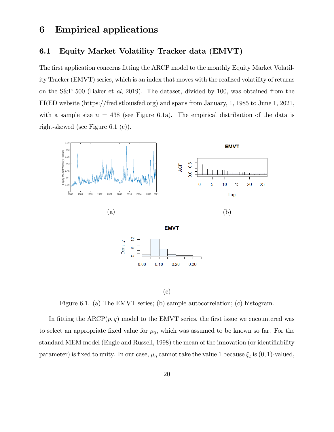### 6 Empirical applications

### 6.1 Equity Market Volatility Tracker data (EMVT)

The first application concerns fitting the ARCP model to the monthly Equity Market Volatility Tracker (EMVT) series, which is an index that moves with the realized volatility of returns on the S&P 500 (Baker et al, 2019). The dataset, divided by 100, was obtained from the FRED website (https://fred.stlouisfed.org) and spans from January, 1, 1985 to June 1, 2021, with a sample size  $n = 438$  (see Figure 6.1a). The empirical distribution of the data is right-skewed (see Figure 6.1 (c)).



(c)

Figure 6.1. (a) The EMVT series; (b) sample autocorrelation; (c) histogram.

In fitting the  $ARCP(p, q)$  model to the EMVT series, the first issue we encountered was to select an appropriate fixed value for  $\mu_0$ , which was assumed to be known so far. For the standard MEM model (Engle and Russell, 1998) the mean of the innovation (or identifiability parameter) is fixed to unity. In our case,  $\mu_0$  cannot take the value 1 because  $\xi_t$  is  $(0, 1)$ -valued,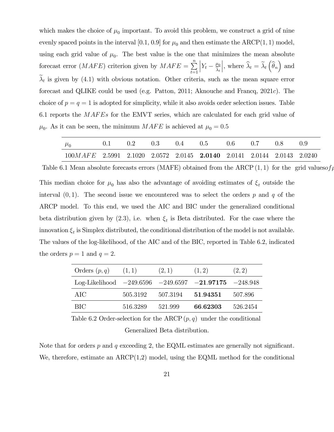which makes the choice of  $\mu_0$  important. To avoid this problem, we construct a grid of nine evenly spaced points in the interval [0.1, 0.9] for  $\mu_0$  and then estimate the ARCP(1, 1) model, using each grid value of  $\mu_0$ . The best value is the one that minimizes the mean absolute forecast error  $(MAFE)$  criterion given by  $MAFE = \sum_{n=1}^{\infty}$  $t=1$  $Y_t - \frac{\mu_0}{\widehat{\lambda}_t}$ |, where  $\widehat{\lambda}_t = \widetilde{\lambda}_t \left( \widehat{\theta}_n \right)$  and  $\lambda_t$  is given by (4.1) with obvious notation. Other criteria, such as the mean square error forecast and QLIKE could be used (e.g. Patton, 2011; Aknouche and Francq, 2021c). The choice of  $p = q = 1$  is adopted for simplicity, while it also avoids order selection issues. Table 6.1 reports the  $MAFEs$  for the EMVT series, which are calculated for each grid value of  $\mu_0$ . As it can be seen, the minimum  $MAFE$  is achieved at  $\mu_0 = 0.5$ 

| $\mu_{0}$                                                                | 0.2 | 0.3 | (1.4 | 0.5 | 0.6 | (1.7 | -0.X |  |
|--------------------------------------------------------------------------|-----|-----|------|-----|-----|------|------|--|
| $100MAFE$ 2.5991 2.1020 2.0572 2.0145 2.0140 2.0141 2.0144 2.0143 2.0240 |     |     |      |     |     |      |      |  |

Table 6.1 Mean absolute forecasts errors (MAFE) obtained from the ARCP(1,1) for the grid valuesof

This median choice for  $\mu_0$  has also the advantage of avoiding estimates of  $\xi_t$  outside the interval  $(0, 1)$ . The second issue we encountered was to select the orders p and q of the ARCP model. To this end, we used the AIC and BIC under the generalized conditional beta distribution given by  $(2.3)$ , i.e. when  $\xi_t$  is Beta distributed. For the case where the innovation  $\xi_t$  is Simplex distributed, the conditional distribution of the model is not available. The values of the log-likelihood, of the AIC and of the BIC, reported in Table 6.2, indicated the orders  $p = 1$  and  $q = 2$ .

| Orders $(p, q)$                                               | (1,1)    | (2,1)             | (1, 2)   | (2, 2)   |
|---------------------------------------------------------------|----------|-------------------|----------|----------|
| Log-Likelihood $-249.6596$ $-249.6597$ $-21.97175$ $-248.948$ |          |                   |          |          |
| AIC                                                           | 505.3192 | 507.3194 51.94351 |          | 507.896  |
| - BIC                                                         | 516.3289 | 521.999           | 66.62303 | 526.2454 |

Table 6.2 Order-selection for the ARCP $(p, q)$  under the conditional Generalized Beta distribution.

Note that for orders  $p$  and  $q$  exceeding 2, the EQML estimates are generally not significant. We, therefore, estimate an ARCP(1,2) model, using the EQML method for the conditional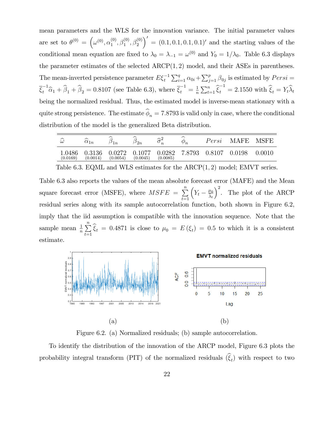mean parameters and the WLS for the innovation variance. The initial parameter values are set to  $\theta^{(0)} = (\omega^{(0)}, \alpha_1^{(0)})$  $\overset{(0)}{1},\overset{(0)}{\beta_1^0},\overset{(0)}{\beta_2^0}$  $\bigg(0' = (0.1, 0.1, 0.1, 0.1)'$  and the starting values of the conditional mean equation are fixed to  $\lambda_0 = \lambda_{-1} = \omega^{(0)}$  and  $Y_0 = 1/\lambda_0$ . Table 6.3 displays the parameter estimates of the selected  $ARCP(1, 2)$  model, and their ASEs in parentheses. The mean-inverted persistence parameter  $E\xi_t^{-1}\sum_{i=1}^q \alpha_{0i} + \sum_{j=1}^p \beta_{0j}$  is estimated by  $Persi =$  $\bar{\xi}_t^{-1} \hat{\alpha}_1 + \hat{\beta}_1 + \hat{\beta}_2 = 0.8107$  (see Table 6.3), where  $\bar{\xi}_t^{-1} = \frac{1}{n}$  $\frac{1}{n}\sum_{t=1}^{n}\hat{\xi}_{t}^{-1} = 2.1550$  with  $\widehat{\xi}_{t} = Y_{t}\widehat{\lambda}_{t}$ being the normalized residual. Thus, the estimated model is inverse-mean stationary with a quite strong persistence. The estimate  $\phi_n = 7.8793$  is valid only in case, where the conditional distribution of the model is the generalized Beta distribution.

| ∼<br>$\omega$      | ∼<br>$\alpha_{1n}$ | ∼<br>$\mathsf{I}$  | ∼<br>$v_{2n}$      | ヘツ<br>$\boldsymbol{n}$ | $\widehat{\phantom{1}}$<br>$\varphi_n$ | Persi  | <b>MAFE</b> | <b>MSFE</b> |
|--------------------|--------------------|--------------------|--------------------|------------------------|----------------------------------------|--------|-------------|-------------|
| 1.0486<br>(0.0169) | 0.3136<br>(0.0014) | 0.0272<br>(0.0054) | 0.1077<br>(0.0045) | 0.0282<br>(0.0085)     | 7.8793                                 | 0.8107 | 0.0198      | 0.0010      |

Table 6.3. EQML and WLS estimates for the  $ARCP(1, 2)$  model; EMVT series.

Table 6.3 also reports the values of the mean absolute forecast error (MAFE) and the Mean square forecast error (MSFE), where  $MSFE = \sum_{n=1}^{\infty}$  $_{t=1}$  $\left(Y_t - \frac{\mu_0}{\hat{\lambda}_t}\right)$  $\int_{0}^{2}$ . The plot of the ARCP residual series along with its sample autocorrelation function, both shown in Figure 6.2, imply that the iid assumption is compatible with the innovation sequence. Note that the sample mean  $\frac{1}{n} \sum_{n=1}^{\infty}$  $\sum_{t=1} \xi_t = 0.4871$  is close to  $\mu_0 = E(\xi_t) = 0.5$  to which it is a consistent estimate.



Figure 6.2. (a) Normalized residuals; (b) sample autocorrelation.

To identify the distribution of the innovation of the ARCP model, Figure 6.3 plots the probability integral transform (PIT) of the normalized residuals  $(\xi_t)$  with respect to two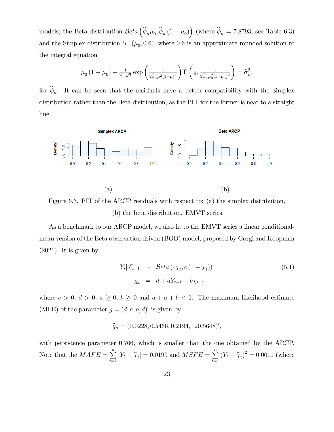models; the Beta distribution  $Beta(\hat{\phi}_n\mu_0, \hat{\phi}_n(1-\mu_0))$  (where  $\hat{\phi}_n = 7.8793$ , see Table 6.3) and the Simplex distribution  $S^-(\mu_0, 0.6)$ , where 0.6 is an approximate rounded solution to the integral equation

$$
\mu_0 (1 - \mu_0) - \frac{1}{\hat{\phi}_n \sqrt{2}} \exp \left( \frac{1}{2 \hat{\phi}_n^2 \mu^2 (1 - \mu)^2} \right) \Gamma \left( \frac{1}{2}, \frac{1}{2 \hat{\phi}_n^2 \mu_0^2 (1 - \mu_0)^2} \right) = \hat{\sigma}_n^2,
$$

for  $\phi_n$ . It can be seen that the residuals have a better compatibility with the Simplex distribution rather than the Beta distribution, as the PIT for the former is near to a straight line.



Figure 6.3. PIT of the ARCP residuals with respect to: (a) the simplex distribution, (b) the beta distribution. EMVT series.

As a benchmark to our ARCP model, we also fit to the EMVT series a linear conditionalmean version of the Beta observation driven (BOD) model, proposed by Gorgi and Koopman (2021). It is given by

$$
Y_t | \mathcal{F}_{t-1} \sim \text{Beta}(c\chi_t, c(1 - \chi_t))
$$
\n
$$
\chi_t = d + aY_{t-1} + b\chi_{t-1}
$$
\n(5.1)

where  $c > 0$ ,  $d > 0$ ,  $a \ge 0$ ,  $b \ge 0$  and  $d + a + b < 1$ . The maximum likelihood estimate (MLE) of the parameter  $g = (d, a, b, d)'$  is given by

$$
\widehat{g}_n = (0.0228, 0.5466, 0.2194, 120.5648)'
$$

with persistence parameter 0.766, which is smaller than the one obtained by the ARCP. Note that the  $MAFE = \sum_{n=1}^{n}$  $\sum_{t=1}^{n} |Y_t - \hat{\chi}_t| = 0.0199$  and  $MSFE = \sum_{t=1}^{n}$  $\sum_{t=1}^{N} (Y_t - \widehat{\chi}_t)^2 = 0.0011$  (where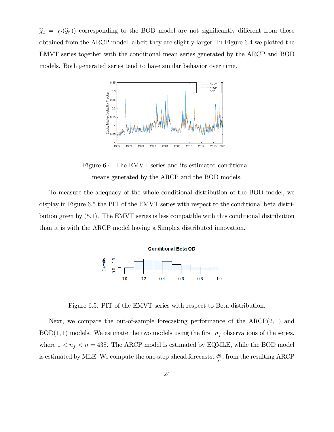$\widehat{\chi}_t = \chi_t(\widehat{g}_n)$  corresponding to the BOD model are not significantly different from those obtained from the ARCP model, albeit they are slightly larger. In Figure 6.4 we plotted the EMVT series together with the conditional mean series generated by the ARCP and BOD models. Both generated series tend to have similar behavior over time.



Figure 6.4. The EMVT series and its estimated conditional means generated by the ARCP and the BOD models.

To measure the adequacy of the whole conditional distribution of the BOD model, we display in Figure 6.5 the PIT of the EMVT series with respect to the conditional beta distribution given by (5:1). The EMVT series is less compatible with this conditional distribution than it is with the ARCP model having a Simplex distributed innovation.



Figure 6.5. PIT of the EMVT series with respect to Beta distribution.

Next, we compare the out-of-sample forecasting performance of the  $ARCP(2, 1)$  and BOD(1, 1) models. We estimate the two models using the first  $n_f$  observations of the series, where  $1 < n_f < n = 438$ . The ARCP model is estimated by EQMLE, while the BOD model is estimated by MLE. We compute the one-step ahead forecasts,  $\frac{\mu_0}{\hat{\lambda}_t}$ , from the resulting ARCP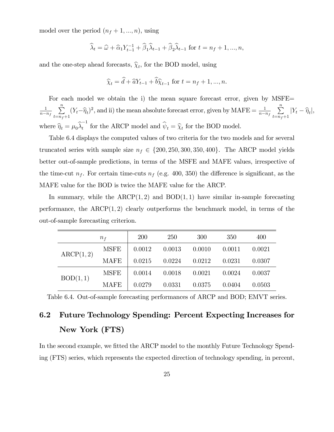model over the period  $(n_f + 1, ..., n)$ , using

$$
\widehat{\lambda}_t = \widehat{\omega} + \widehat{\alpha}_1 Y_{t-1}^{-1} + \widehat{\beta}_1 \widehat{\lambda}_{t-1} + \widehat{\beta}_2 \widehat{\lambda}_{t-1} \text{ for } t = n_f + 1, ..., n,
$$

and the one-step ahead forecasts,  $\hat{\chi}_t$ , for the BOD model, using

$$
\widehat{\chi}_t = \widehat{d} + \widehat{a}Y_{t-1} + \widehat{b}\widehat{\chi}_{t-1} \text{ for } t = n_f + 1, ..., n.
$$

For each model we obtain the i) the mean square forecast error, given by MSFE= 1  $n - n_f$  $\sum_{n=1}^{\infty}$  $\sum_{t=n_f+1} (Y_t - \widehat{\eta}_t)^2$ , and ii) the mean absolute forecast error, given by MAFE =  $\frac{1}{n-4}$  $n - n_f$  $\sum_{n=1}^{\infty}$  $\sum_{t=n_f+1} |Y_t - \widehat{\eta}_t|,$ where  $\widehat{\eta}_t = \mu_0 \widehat{\lambda}_t^{-1}$  $t_{t}$  for the ARCP model and  $\psi_{t} = \hat{\chi}_{t}$  for the BOD model.

Table 6.4 displays the computed values of two criteria for the two models and for several truncated series with sample size  $n_f \in \{200, 250, 300, 350, 400\}$ . The ARCP model yields better out-of-sample predictions, in terms of the MSFE and MAFE values, irrespective of the time-cut  $n_f$ . For certain time-cuts  $n_f$  (e.g. 400, 350) the difference is significant, as the MAFE value for the BOD is twice the MAFE value for the ARCP.

In summary, while the  $ARCP(1,2)$  and  $BOD(1,1)$  have similar in-sample forecasting performance, the  $ARCP(1, 2)$  clearly outperforms the benchmark model, in terms of the out-of-sample forecasting criterion.

| $n_{f}$   |             | 200    | 250    | 300    | 350    | 400    |
|-----------|-------------|--------|--------|--------|--------|--------|
| ARCP(1,2) | <b>MSFE</b> | 0.0012 | 0.0013 | 0.0010 | 0.0011 | 0.0021 |
|           | <b>MAFE</b> | 0.0215 | 0.0224 | 0.0212 | 0.0231 | 0.0307 |
| BOD(1,1)  | <b>MSFE</b> | 0.0014 | 0.0018 | 0.0021 | 0.0024 | 0.0037 |
|           | <b>MAFE</b> | 0.0279 | 0.0331 | 0.0375 | 0.0404 | 0.0503 |

Table 6.4. Out-of-sample forecasting performances of ARCP and BOD; EMVT series.

# 6.2 Future Technology Spending: Percent Expecting Increases for New York (FTS)

In the second example, we fitted the ARCP model to the monthly Future Technology Spending (FTS) series, which represents the expected direction of technology spending, in percent,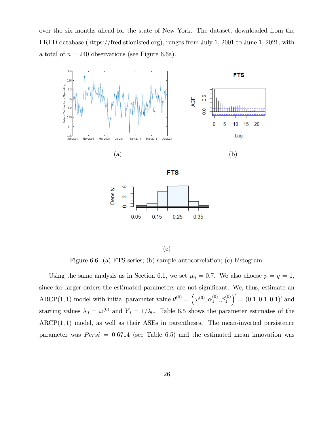over the six months ahead for the state of New York. The dataset, downloaded from the FRED database (https://fred.stlouisfed.org), ranges from July 1, 2001 to June 1, 2021, with a total of  $n = 240$  observations (see Figure 6.6a).



(c)

Figure 6.6. (a) FTS series; (b) sample autocorrelation; (c) histogram.

Using the same analysis as in Section 6.1, we set  $\mu_0 = 0.7$ . We also choose  $p = q = 1$ , since for larger orders the estimated parameters are not significant. We, thus, estimate an ARCP(1, 1) model with initial parameter value  $\theta^{(0)} = (\omega^{(0)}, \alpha_1^{(0)})$  $\overset{(0)}{1},\overset{(0)}{\beta_1^{(0)}}$  $\bigg( (0.1, 0.1, 0.1)^t \right) = (0.1, 0.1)^t$  and starting values  $\lambda_0 = \omega^{(0)}$  and  $Y_0 = 1/\lambda_0$ . Table 6.5 shows the parameter estimates of the  $\text{ARCP}(1,1)$  model, as well as their ASEs in parentheses. The mean-inverted persistence parameter was  $Persi = 0.6714$  (see Table 6.5) and the estimated mean innovation was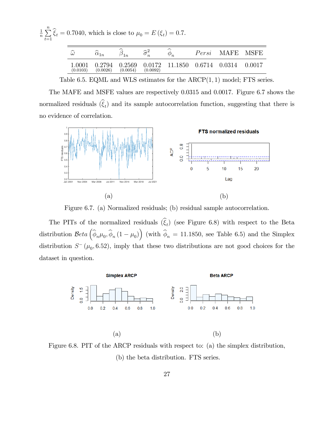| $\frac{1}{n}\sum_{i=1}^{n} \hat{\xi}_{t} = 0.7040$ , which is close to $\mu_0 = E(\xi_t) = 0.7$ .<br>$t=1$ |                    |                         |          |          |                                               |                 |        |
|------------------------------------------------------------------------------------------------------------|--------------------|-------------------------|----------|----------|-----------------------------------------------|-----------------|--------|
|                                                                                                            | $\widehat{\omega}$ | $\widehat{\alpha}_{1n}$ |          |          | $\phi_n$                                      | Persi MAFE MSFE |        |
|                                                                                                            | 1.0001<br>(0.0103) | 0.2794<br>(0.0026)      | (0.0054) | (0.0092) | $0.2569$ $0.0172$ $11.1850$ $0.6714$ $0.0314$ |                 | 0.0017 |

Table 6.5. EQML and WLS estimates for the  $ARCP(1, 1)$  model; FTS series.

The MAFE and MSFE values are respectively 0.0315 and 0.0017. Figure 6.7 shows the normalized residuals  $(\xi_t)$  and its sample autocorrelation function, suggesting that there is no evidence of correlation.



Figure 6.7. (a) Normalized residuals; (b) residual sample autocorrelation.

The PITs of the normalized residuals  $(\xi_t)$  (see Figure 6.8) with respect to the Beta distribution  $Beta\left(\widehat{\phi}_{n}\mu_0, \widehat{\phi}_{n}(1-\mu_0)\right)$  (with  $\widehat{\phi}_{n} = 11.1850$ , see Table 6.5) and the Simplex distribution  $S^-(\mu_0, 6.52)$ , imply that these two distributions are not good choices for the dataset in question.



Figure 6.8. PIT of the ARCP residuals with respect to: (a) the simplex distribution, (b) the beta distribution. FTS series.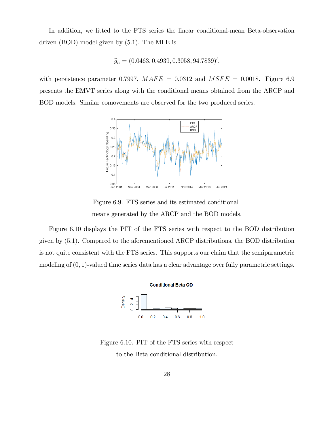In addition, we fitted to the FTS series the linear conditional-mean Beta-observation driven (BOD) model given by (5.1). The MLE is

$$
\widehat{g}_n = (0.0463, 0.4939, 0.3058, 94.7839)'
$$

with persistence parameter 0.7997,  $MAFE = 0.0312$  and  $MSFE = 0.0018$ . Figure 6.9 presents the EMVT series along with the conditional means obtained from the ARCP and BOD models. Similar comovements are observed for the two produced series.



Figure 6.9. FTS series and its estimated conditional means generated by the ARCP and the BOD models.

Figure 6.10 displays the PIT of the FTS series with respect to the BOD distribution given by (5:1). Compared to the aforementioned ARCP distributions, the BOD distribution is not quite consistent with the FTS series. This supports our claim that the semiparametric modeling of  $(0, 1)$ -valued time series data has a clear advantage over fully parametric settings.



Figure 6.10. PIT of the FTS series with respect to the Beta conditional distribution.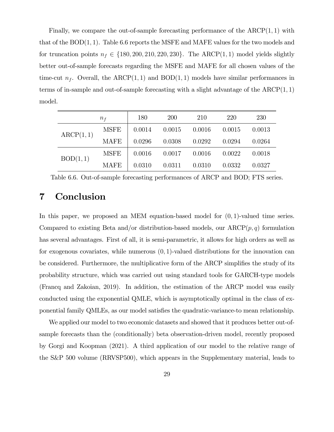Finally, we compare the out-of-sample forecasting performance of the  $ARCP(1, 1)$  with that of the  $BOD(1, 1)$ . Table 6.6 reports the MSFE and MAFE values for the two models and for truncation points  $n_f \in \{180, 200, 210, 220, 230\}$ . The ARCP(1, 1) model yields slightly better out-of-sample forecasts regarding the MSFE and MAFE for all chosen values of the time-cut  $n_f$ . Overall, the ARCP(1,1) and BOD(1,1) models have similar performances in terms of in-sample and out-of-sample forecasting with a slight advantage of the  $ARCP(1, 1)$ model.

|           | $n_{f}$     | 180    | <b>200</b> | 210    | 220    | <b>230</b> |
|-----------|-------------|--------|------------|--------|--------|------------|
| ARCP(1,1) | <b>MSFE</b> | 0.0014 | 0.0015     | 0.0016 | 0.0015 | 0.0013     |
|           | <b>MAFE</b> | 0.0296 | 0.0308     | 0.0292 | 0.0294 | 0.0264     |
| BOD(1,1)  | <b>MSFE</b> | 0.0016 | 0.0017     | 0.0016 | 0.0022 | 0.0018     |
|           | <b>MAFE</b> | 0.0310 | 0.0311     | 0.0310 | 0.0332 | 0.0327     |

Table 6.6. Out-of-sample forecasting performances of ARCP and BOD; FTS series.

# 7 Conclusion

In this paper, we proposed an MEM equation-based model for  $(0, 1)$ -valued time series. Compared to existing Beta and/or distribution-based models, our  $ARCP(p, q)$  formulation has several advantages. First of all, it is semi-parametric, it allows for high orders as well as for exogenous covariates, while numerous  $(0, 1)$ -valued distributions for the innovation can be considered. Furthermore, the multiplicative form of the ARCP simplifies the study of its probability structure, which was carried out using standard tools for GARCH-type models (Francq and Zakoian, 2019). In addition, the estimation of the ARCP model was easily conducted using the exponential QMLE, which is asymptotically optimal in the class of exponential family QMLEs, as our model satisfies the quadratic-variance-to mean relationship.

We applied our model to two economic datasets and showed that it produces better out-ofsample forecasts than the (conditionally) beta observation-driven model, recently proposed by Gorgi and Koopman (2021). A third application of our model to the relative range of the S&P 500 volume (RRVSP500), which appears in the Supplementary material, leads to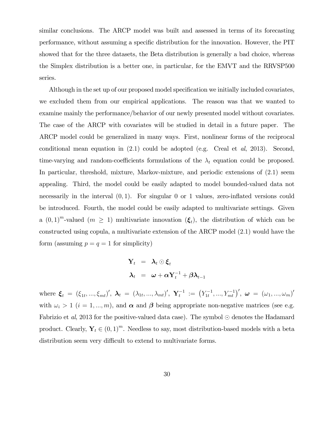similar conclusions. The ARCP model was built and assessed in terms of its forecasting performance, without assuming a specific distribution for the innovation. However, the PIT showed that for the three datasets, the Beta distribution is generally a bad choice, whereas the Simplex distribution is a better one, in particular, for the EMVT and the RRVSP500 series.

Although in the set up of our proposed model specification we initially included covariates, we excluded them from our empirical applications. The reason was that we wanted to examine mainly the performance/behavior of our newly presented model without covariates. The case of the ARCP with covariates will be studied in detail in a future paper. The ARCP model could be generalized in many ways. First, nonlinear forms of the reciprocal conditional mean equation in  $(2.1)$  could be adopted (e.g. Creal et al, 2013). Second, time-varying and random-coefficients formulations of the  $\lambda_t$  equation could be proposed. In particular, threshold, mixture, Markov-mixture, and periodic extensions of (2:1) seem appealing. Third, the model could be easily adapted to model bounded-valued data not necessarily in the interval  $(0, 1)$ . For singular 0 or 1 values, zero-inflated versions could be introduced. Fourth, the model could be easily adapted to multivariate settings. Given a  $(0,1)^m$ -valued  $(m \geq 1)$  multivariate innovation  $(\xi_t)$ , the distribution of which can be constructed using copula, a multivariate extension of the ARCP model (2:1) would have the form (assuming  $p = q = 1$  for simplicity)

$$
\mathbf{Y}_t = \boldsymbol{\lambda}_t \odot \boldsymbol{\xi}_t
$$

$$
\boldsymbol{\lambda}_t = \boldsymbol{\omega} + \boldsymbol{\alpha} \mathbf{Y}_t^{-1} + \boldsymbol{\beta} \boldsymbol{\lambda}_{t-1}
$$

where  $\boldsymbol{\xi}_{t}$  =  $(\xi_{1t},...,\xi_{mt})',$   $\boldsymbol{\lambda}_{t}$  =  $(\lambda_{1t},...,\lambda_{mt})',$   $\mathbf{Y}_{t}^{-1}$  :=  $(Y_{1t}^{-1},...,Y_{mt}^{-1})',$   $\boldsymbol{\omega}$  =  $(\omega_{1},...,\omega_{m})'$ with  $\omega_i > 1$   $(i = 1, ..., m)$ , and  $\alpha$  and  $\beta$  being appropriate non-negative matrices (see e.g. Fabrizio et al, 2013 for the positive-valued data case). The symbol  $\odot$  denotes the Hadamard product. Clearly,  $\mathbf{Y}_t \in (0, 1)^m$ . Needless to say, most distribution-based models with a beta distribution seem very difficult to extend to multivariate forms.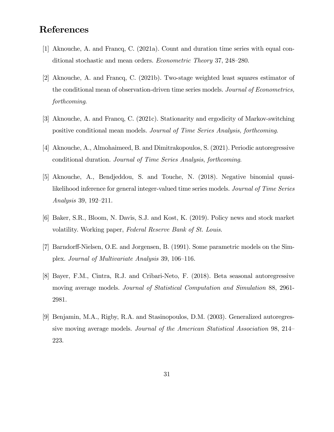# References

- [1] Aknouche, A. and Francq, C. (2021a). Count and duration time series with equal conditional stochastic and mean orders. *Econometric Theory* 37, 248–280.
- [2] Aknouche, A. and Francq, C. (2021b). Two-stage weighted least squares estimator of the conditional mean of observation-driven time series models. Journal of Econometrics, forthcoming.
- [3] Aknouche, A. and Francq, C. (2021c). Stationarity and ergodicity of Markov-switching positive conditional mean models. Journal of Time Series Analysis, forthcoming.
- [4] Aknouche, A., Almohaimeed, B. and Dimitrakopoulos, S. (2021). Periodic autoregressive conditional duration. Journal of Time Series Analysis, forthcoming.
- [5] Aknouche, A., Bendjeddou, S. and Touche, N. (2018). Negative binomial quasilikelihood inference for general integer-valued time series models. Journal of Time Series Analysis 39, 192–211.
- [6] Baker, S.R., Bloom, N. Davis, S.J. and Kost, K. (2019). Policy news and stock market volatility. Working paper, Federal Reserve Bank of St. Louis.
- [7] Barndorff-Nielsen, O.E. and Jorgensen, B. (1991). Some parametric models on the Simplex. Journal of Multivariate Analysis 39, 106–116.
- [8] Bayer, F.M., Cintra, R.J. and Cribari-Neto, F. (2018). Beta seasonal autoregressive moving average models. Journal of Statistical Computation and Simulation 88, 2961-2981.
- [9] Benjamin, M.A., Rigby, R.A. and Stasinopoulos, D.M. (2003). Generalized autoregressive moving average models. Journal of the American Statistical Association 98, 214 223.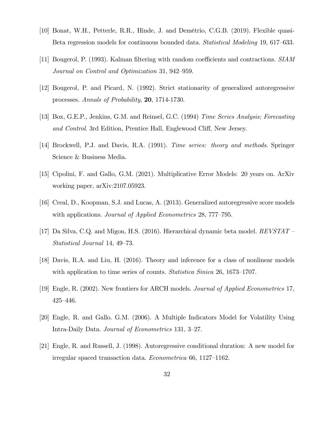- [10] Bonat, W.H., Petterle, R.R., Hinde, J. and Demétrio, C.G.B. (2019). Flexible quasi-Beta regression models for continuous bounded data. *Statistical Modeling* 19, 617–633.
- [11] Bougerol, P. (1993). Kalman filtering with random coefficients and contractions. SIAM Journal on Control and Optimization 31, 942–959.
- [12] Bougerol, P. and Picard, N. (1992). Strict stationarity of generalized autoregressive processes. Annals of Probability, 20, 1714-1730.
- [13] Box, G.E.P., Jenkins, G.M. and Reinsel, G.C. (1994) Time Series Analysis; Forecasting and Control. 3rd Edition, Prentice Hall, Englewood Cliff, New Jersey.
- [14] Brockwell, P.J. and Davis, R.A. (1991). Time series: theory and methods. Springer Science & Business Media.
- [15] Cipolini, F. and Gallo, G.M. (2021). Multiplicative Error Models: 20 years on. ArXiv working paper, arXiv:2107.05923.
- [16] Creal, D., Koopman, S.J. and Lucas, A. (2013). Generalized autoregressive score models with applications. *Journal of Applied Econometrics* 28, 777–795.
- [17] Da Silva, C.Q. and Migon, H.S. (2016). Hierarchical dynamic beta model.  $REVSTAT$  Statistical Journal 14, 49–73.
- [18] Davis, R.A. and Liu, H. (2016). Theory and inference for a class of nonlinear models with application to time series of counts. Statistica Sinica  $26$ ,  $1673-1707$ .
- [19] Engle, R. (2002). New frontiers for ARCH models. Journal of Applied Econometrics 17,  $425 - 446.$
- [20] Engle, R. and Gallo. G.M. (2006). A Multiple Indicators Model for Volatility Using Intra-Daily Data. Journal of Econometrics 131, 3-27.
- [21] Engle, R. and Russell, J. (1998). Autoregressive conditional duration: A new model for irregular spaced transaction data. *Econometrica* 66, 1127–1162.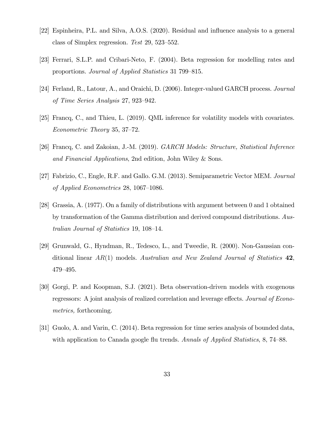- [22] Espinheira, P.L. and Silva, A.O.S. (2020). Residual and ináuence analysis to a general class of Simplex regression. Test  $29, 523-552$ .
- [23] Ferrari, S.L.P. and Cribari-Neto, F. (2004). Beta regression for modelling rates and proportions. Journal of Applied Statistics 31 799–815.
- [24] Ferland, R., Latour, A., and Oraichi, D. (2006). Integer-valued GARCH process. Journal of Time Series Analysis  $27, 923-942$ .
- [25] Francq, C., and Thieu, L. (2019). QML inference for volatility models with covariates.  $Econometric Theory 35, 37–72.$
- [26] Francq, C. and Zakoian, J.-M. (2019). GARCH Models: Structure, Statistical Inference and Financial Applications, 2nd edition, John Wiley & Sons.
- [27] Fabrizio, C., Engle, R.F. and Gallo. G.M. (2013). Semiparametric Vector MEM. Journal of Applied Econometrics 28, 1067–1086.
- [28] Grassia, A. (1977). On a family of distributions with argument between 0 and 1 obtained by transformation of the Gamma distribution and derived compound distributions. Australian Journal of Statistics 19,  $108-14$ .
- [29] Grunwald, G., Hyndman, R., Tedesco, L., and Tweedie, R. (2000). Non-Gaussian conditional linear  $AR(1)$  models. Australian and New Zealand Journal of Statistics 42, 479-495.
- [30] Gorgi, P. and Koopman, S.J. (2021). Beta observation-driven models with exogenous regressors: A joint analysis of realized correlation and leverage effects. Journal of Econometrics, forthcoming.
- [31] Guolo, A. and Varin, C. (2014). Beta regression for time series analysis of bounded data, with application to Canada google flu trends. Annals of Applied Statistics,  $8, 74-88$ .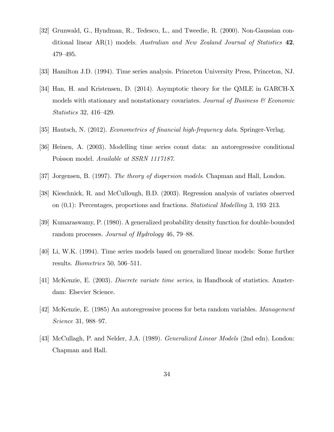- [32] Grunwald, G., Hyndman, R., Tedesco, L., and Tweedie, R. (2000). Non-Gaussian conditional linear  $AR(1)$  models. Australian and New Zealand Journal of Statistics  $42$ , 479–495.
- [33] Hamilton J.D. (1994). Time series analysis. Princeton University Press, Princeton, NJ.
- [34] Han, H. and Kristensen, D. (2014). Asymptotic theory for the QMLE in GARCH-X models with stationary and nonstationary covariates. Journal of Business  $\mathcal C$  Economic  $Statistics 32, 416–429.$
- [35] Hautsch, N. (2012). *Econometrics of financial high-frequency data*. Springer-Verlag.
- [36] Heinen, A. (2003). Modelling time series count data: an autoregressive conditional Poisson model. Available at SSRN 1117187.
- [37] Jorgensen, B. (1997). The theory of dispersion models. Chapman and Hall, London.
- [38] Kieschnick, R. and McCullough, B.D. (2003). Regression analysis of variates observed on  $(0,1)$ : Percentages, proportions and fractions. *Statistical Modelling* 3, 193–213.
- [39] Kumaraswamy, P. (1980). A generalized probability density function for double-bounded random processes. Journal of Hydrology  $46, 79-88$ .
- [40] Li, W.K. (1994). Time series models based on generalized linear models: Some further results. *Biometrics* 50, 506–511.
- [41] McKenzie, E. (2003). Discrete variate time series, in Handbook of statistics. Amsterdam: Elsevier Science.
- [42] McKenzie, E. (1985) An autoregressive process for beta random variables. Management  $Science$  31, 988–97.
- [43] McCullagh, P. and Nelder, J.A. (1989). Generalized Linear Models (2nd edn). London: Chapman and Hall.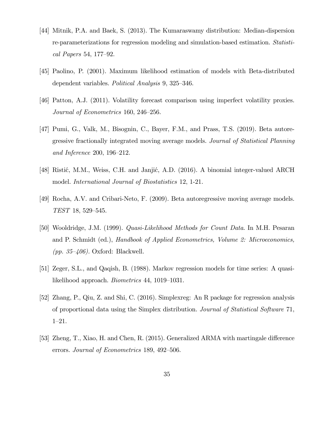- [44] Mitnik, P.A. and Baek, S. (2013). The Kumaraswamy distribution: Median-dispersion re-parameterizations for regression modeling and simulation-based estimation. Statistical Papers 54, 177–92.
- [45] Paolino, P. (2001). Maximum likelihood estimation of models with Beta-distributed dependent variables. Political Analysis 9, 325–346.
- [46] Patton, A.J. (2011). Volatility forecast comparison using imperfect volatility proxies. Journal of Econometrics 160, 246–256.
- [47] Pumi, G., Valk, M., Bisognin, C., Bayer, F.M., and Prass, T.S. (2019). Beta autoregressive fractionally integrated moving average models. Journal of Statistical Planning and Inference 200, 196–212.
- [48] Ristić, M.M., Weiss, C.H. and Janjić, A.D. (2016). A binomial integer-valued ARCH model. International Journal of Biostatistics 12, 1-21.
- [49] Rocha, A.V. and Cribari-Neto, F. (2009). Beta autoregressive moving average models.  $TEST$  18, 529-545.
- [50] Wooldridge, J.M. (1999). Quasi-Likelihood Methods for Count Data. In M.H. Pesaran and P. Schmidt (ed.), Handbook of Applied Econometrics, Volume 2: Microeconomics, (pp. 35–406). Oxford: Blackwell.
- [51] Zeger, S.L., and Qaqish, B. (1988). Markov regression models for time series: A quasilikelihood approach. *Biometrics* 44, 1019–1031.
- [52] Zhang, P., Qiu, Z. and Shi, C. (2016). Simplexreg: An R package for regression analysis of proportional data using the Simplex distribution. Journal of Statistical Software 71,  $1 - 21.$
- [53] Zheng, T., Xiao, H. and Chen, R. (2015). Generalized ARMA with martingale difference errors. Journal of Econometrics 189, 492–506.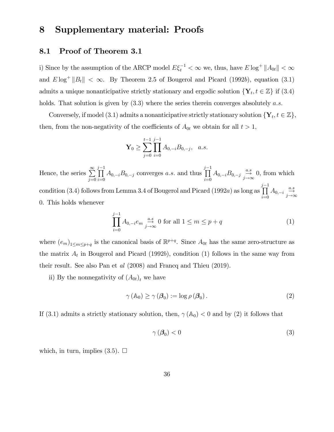# 8 Supplementary material: Proofs

### 8.1 Proof of Theorem 3.1

i) Since by the assumption of the ARCP model  $E\xi_t^{-1} < \infty$  we, thus, have  $E \log^+ ||A_{0t}|| < \infty$ and  $E \log^+ \|B_t\| < \infty$ . By Theorem 2.5 of Bougerol and Picard (1992b), equation (3.1) admits a unique nonanticipative strictly stationary and ergodic solution  $\{Y_t, t \in \mathbb{Z}\}\)$  if (3.4) holds. That solution is given by  $(3.3)$  where the series therein converges absolutely a.s.

Conversely, if model (3.1) admits a nonanticipative strictly stationary solution  $\{Y_t, t \in \mathbb{Z}\},$ then, from the non-negativity of the coefficients of  $A_{0t}$  we obtain for all  $t > 1$ ,

$$
\mathbf{Y}_0 \ge \sum_{j=0}^{t-1} \prod_{i=0}^{j-1} A_{0,-i} B_{0,-j}, \quad a.s.
$$

Hence, the series  $\sum_{n=1}^{\infty}$  $j=0$  $\prod^{j-1}$  $\prod_{i=0} A_{0,-i} B_{0,-j}$  converges a.s. and thus  $\prod^{j-1}$  $\prod_{i=0}^{j-1} A_{0,-i} B_{0,-j} \stackrel{a.s}{\rightarrow} 0$ , from which condition (3.4) follows from Lemma 3.4 of Bougerol and Picard (1992 $a$ ) as long as  $\prod^{j-1}$  $\prod_{i=0}^{j-1} A_{0,-i} \underset{j\to\infty}{\overset{a.s}{\to}}$ 0. This holds whenever

$$
\prod_{i=0}^{j-1} A_{0,-i} e_m \underset{j\to\infty}{\overset{a.s}{\to}} 0 \text{ for all } 1 \le m \le p+q
$$
 (1)

where  $(e_m)_{1 \le m \le p+q}$  is the canonical basis of  $\mathbb{R}^{p+q}$ . Since  $A_{0t}$  has the same zero-structure as the matrix  $A_t$  in Bougerol and Picard (1992b), condition (1) follows in the same way from their result. See also Pan et al (2008) and Francq and Thieu (2019).

ii) By the nonnegativity of  $(A_{0t})_t$  we have

$$
\gamma(\mathbb{A}_0) \ge \gamma(\boldsymbol{\beta}_0) := \log \rho(\boldsymbol{\beta}_0).
$$
\n(2)

If (3.1) admits a strictly stationary solution, then,  $\gamma$  (A<sub>0</sub>) < 0 and by (2) it follows that

$$
\gamma(\boldsymbol{\beta}_0) < 0 \tag{3}
$$

which, in turn, implies  $(3.5)$ .  $\Box$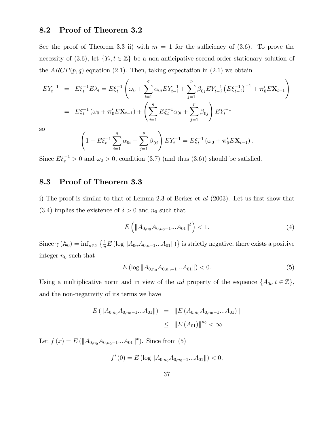### 8.2 Proof of Theorem 3.2

See the proof of Theorem 3.3 ii) with  $m = 1$  for the sufficiency of (3.6). To prove the necessity of (3.6), let  ${Y_t, t \in \mathbb{Z}}$  be a non-anticipative second-order stationary solution of the  $ARCP(p, q)$  equation (2.1). Then, taking expectation in (2.1) we obtain

$$
EY_t^{-1} = E\xi_t^{-1}E\lambda_t = E\xi_t^{-1}\left(\omega_0 + \sum_{i=1}^q \alpha_{0i}EY_{t-i}^{-1} + \sum_{j=1}^p \beta_{0j}EY_{t-j}^{-1} (E\xi_{t-j}^{-1})^{-1} + \pi'_0E\mathbf{X}_{t-1}\right)
$$
  
=  $E\xi_t^{-1}(\omega_0 + \pi'_0E\mathbf{X}_{t-1}) + \left(\sum_{i=1}^q E\xi_i^{-1}\alpha_{0i} + \sum_{j=1}^p \beta_{0j}\right)EY_t^{-1}$ 

so

$$
\left(1 - E\xi_t^{-1} \sum_{i=1}^q \alpha_{0i} - \sum_{j=1}^p \beta_{0j}\right) EY_t^{-1} = E\xi_t^{-1} \left(\omega_0 + \pi'_0 E\mathbf{X}_{t-1}\right).
$$

Since  $E\xi_t^{-1} > 0$  and  $\omega_0 > 0$ , condition (3.7) (and thus (3.6)) should be satisfied.

### 8.3 Proof of Theorem 3.3

i) The proof is similar to that of Lemma 2.3 of Berkes et  $al$  (2003). Let us first show that (3.4) implies the existence of  $\delta > 0$  and  $n_0$  such that

$$
E\left(\|A_{0,n_0}A_{0,n_0-1}...A_{01}\|^{\delta}\right) < 1.\tag{4}
$$

Since  $\gamma(A_0) = \inf_{n \in \mathbb{N}} \left\{ \frac{1}{n} E \left( \log \| A_{0n} A_{0,n-1} ... A_{01} \| \right) \right\}$  is strictly negative, there exists a positive integer  $n_0$  such that

$$
E\left(\log\|A_{0,n_0}A_{0,n_0-1}...A_{01}\|\right) < 0.\tag{5}
$$

Using a multiplicative norm and in view of the *iid* property of the sequence  $\{A_{0t}, t \in \mathbb{Z}\},\$ and the non-negativity of its terms we have

$$
E (||A_{0,n_0} A_{0,n_0-1}...A_{01}||) = ||E (A_{0,n_0} A_{0,n_0-1}...A_{01})||
$$
  

$$
\leq ||E (A_{01})||^{n_0} < \infty.
$$

Let  $f(x) = E(||A_{0,n_0}A_{0,n_0-1}...A_{01}||^x)$ . Since from (5)

$$
f'(0) = E(\log ||A_{0,n_0} A_{0,n_0-1} ... A_{01}||) < 0,
$$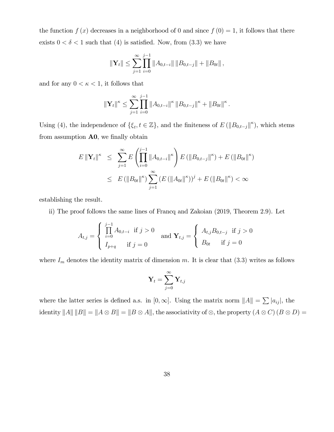the function  $f(x)$  decreases in a neighborhood of 0 and since  $f(0) = 1$ , it follows that there exists  $0 < \delta < 1$  such that (4) is satisfied. Now, from (3.3) we have

$$
\|\mathbf{Y}_{t}\| \leq \sum_{j=1}^{\infty} \prod_{i=0}^{j-1} \|A_{0,t-i}\| \|B_{0,t-j}\| + \|B_{0t}\|,
$$

and for any  $0 < \kappa < 1$ , it follows that

$$
\|\mathbf{Y}_{t}\|^{\kappa} \leq \sum_{j=1}^{\infty} \prod_{i=0}^{j-1} \|A_{0,t-i}\|^{\kappa} \|B_{0,t-j}\|^{\kappa} + \|B_{0t}\|^{\kappa}.
$$

Using (4), the independence of  $\{\xi_t, t \in \mathbb{Z}\}$ , and the finiteness of  $E(\|B_{0,t-j}\|^{\kappa})$ , which stems from assumption  $A0$ , we finally obtain

$$
E \|\mathbf{Y}_{t}\|^{k} \leq \sum_{j=1}^{\infty} E\left(\prod_{i=0}^{j-1} \|A_{0,t-i}\|^{k}\right) E\left(\|B_{0,t-j}\|^{k}\right) + E\left(\|B_{0t}\|^{k}\right)
$$
  

$$
\leq E\left(\|B_{0t}\|^{k}\right) \sum_{j=1}^{\infty} \left(E\left(\|A_{0t}\|^{k}\right)\right)^{j} + E\left(\|B_{0t}\|^{k}\right) < \infty
$$

establishing the result.

ii) The proof follows the same lines of Francq and Zakoian (2019, Theorem 2.9). Let

$$
A_{t,j} = \begin{cases} \prod_{i=0}^{j-1} A_{0,t-i} & \text{if } j > 0 \\ I_{p+q} & \text{if } j = 0 \end{cases} \text{ and } \mathbf{Y}_{t,j} = \begin{cases} A_{t,j} B_{0,t-j} & \text{if } j > 0 \\ B_{0t} & \text{if } j = 0 \end{cases}
$$

where  $I_m$  denotes the identity matrix of dimension m. It is clear that (3.3) writes as follows

$$
\mathbf{Y}_t = \sum_{j=0}^\infty \mathbf{Y}_{t,j}
$$

where the latter series is defined a.s. in  $[0, \infty]$ . Using the matrix norm  $||A|| = \sum |a_{ij}|$ , the  $\text{identity } \|A\| \|B\| = \|A \otimes B\| = \|B \otimes A\|, \text{the associativity of } \otimes, \text{ the property } (A \otimes C) (B \otimes D) =$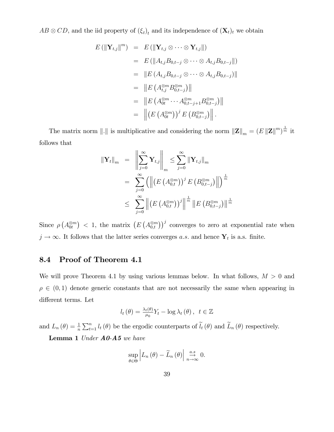$AB \otimes CD$ , and the iid property of  $(\xi_t)_t$  and its independence of  $(\mathbf{X}_t)_t$  we obtain

$$
E(||\mathbf{Y}_{t,j}||^{m}) = E(||\mathbf{Y}_{t,j} \otimes \cdots \otimes \mathbf{Y}_{t,j}||)
$$
  
\n
$$
= E(||A_{t,j}B_{0,t-j} \otimes \cdots \otimes A_{t,j}B_{0,t-j}||)
$$
  
\n
$$
= ||E(A_{t,j}B_{0,t-j} \otimes \cdots \otimes A_{t,j}B_{0,t-j})||
$$
  
\n
$$
= ||E(A_{t,j}^{\otimes m}B_{0,t-j}^{\otimes m})||
$$
  
\n
$$
= ||E(A_{0t}^{\otimes m} \cdots A_{0,t-j+1}^{\otimes m}B_{0,t-j}^{\otimes m})||
$$
  
\n
$$
= ||E(A_{0t}^{\otimes m} \cdots A_{0,t-j+1}^{\otimes m}B_{0,t-j}^{\otimes m})||
$$
  
\n
$$
= ||(E(A_{0t}^{\otimes m}))^{j} E(B_{0,t-j}^{\otimes m})||.
$$

The matrix norm  $||.||$  is multiplicative and considering the norm  $||\mathbf{Z}||_m = (E ||\mathbf{Z}||^m)^{\frac{1}{m}}$  it follows that

$$
\begin{aligned} \|\mathbf{Y}_{t}\|_{m} &= \left\| \sum_{j=0}^{\infty} \mathbf{Y}_{t,j} \right\|_{m} \leq \sum_{j=0}^{\infty} \|\mathbf{Y}_{t,j}\|_{m} \\ &= \sum_{j=0}^{\infty} \left( \left\| \left( E\left( A_{0,t}^{\otimes m} \right) \right)^{j} E\left( B_{0,t-j}^{\otimes m} \right) \right\| \right)^{\frac{1}{m}} \\ &\leq \sum_{j=0}^{\infty} \left\| \left( E\left( A_{0,t}^{\otimes m} \right) \right)^{j} \right\|^{\frac{1}{m}} \left\| E\left( B_{0,t-j}^{\otimes m} \right) \right\|^{\frac{1}{m}} \end{aligned}
$$

Since  $\rho(A_0^{\otimes m}) < 1$ , the matrix  $(E(A_0^{\otimes m}))^j$  converges to zero at exponential rate when  $j \to \infty$ . It follows that the latter series converges a.s. and hence  $Y_t$  is a.s. finite.

### 8.4 Proof of Theorem 4.1

We will prove Theorem 4.1 by using various lemmas below. In what follows,  $M > 0$  and  $\rho \in (0, 1)$  denote generic constants that are not necessarily the same when appearing in different terms. Let

$$
l_t(\theta) = \frac{\lambda_t(\theta)}{\mu_0} Y_t - \log \lambda_t(\theta), \ \ t \in \mathbb{Z}
$$

and  $L_n(\theta) = \frac{1}{n} \sum_{t=1}^n l_t(\theta)$  be the ergodic counterparts of  $\widetilde{l}_t(\theta)$  and  $\widetilde{L}_n(\theta)$  respectively.

Lemma 1 Under  $A0-AS$  we have

$$
\sup_{\theta \in \Theta} \left| L_n(\theta) - \widetilde{L}_n(\theta) \right| \underset{n \to \infty}{\overset{a.s}{\to}} 0.
$$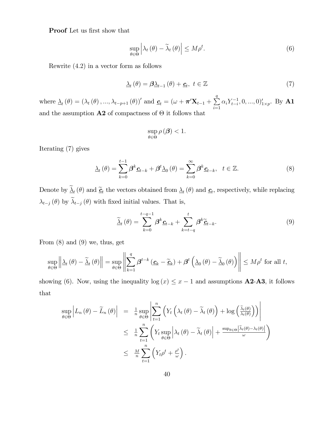Proof Let us first show that

$$
\sup_{\theta \in \Theta} \left| \lambda_t(\theta) - \widetilde{\lambda}_t(\theta) \right| \le M \rho^t. \tag{6}
$$

Rewrite  $(4.2)$  in a vector form as follows

$$
\underline{\lambda}_{t}(\theta) = \beta \underline{\lambda}_{t-1}(\theta) + \underline{\mathbf{c}}_{t}, \ t \in \mathbb{Z}
$$
\n<sup>(7)</sup>

where  $\underline{\lambda}_{t}(\theta) = (\lambda_{t}(\theta), ..., \lambda_{t-p+1}(\theta))'$  and  $\underline{\mathbf{c}}_{t} = (\omega + \boldsymbol{\pi}' \mathbf{X}_{t-1} + \sum_{i=1}^{q} \mathbf{X}_{t-i}$  $i=1$  $\alpha_i Y_{t-i}^{-1}, 0, ..., 0 \rangle'_{1 \times p}$ . By **A1** and the assumption  $\mathbf{A2}$  of compactness of  $\Theta$  it follows that

$$
\sup_{\theta \in \Theta} \rho(\boldsymbol{\beta}) < 1.
$$

Iterating (7) gives

$$
\underline{\lambda}_{t}(\theta) = \sum_{k=0}^{t-1} \beta^{k} \underline{\mathbf{c}}_{t-k} + \beta^{t} \underline{\lambda}_{0}(\theta) = \sum_{k=0}^{\infty} \beta^{k} \underline{\mathbf{c}}_{t-k}, \quad t \in \mathbb{Z}.
$$
 (8)

Denote by  $\Delta_t(\theta)$  and  $\tilde{\underline{c}}_t$  the vectors obtained from  $\Delta_t(\theta)$  and  $\underline{c}_t$ , respectively, while replacing  $\lambda_{t-j} (\theta)$  by  $\widetilde{\lambda}_{t-j} (\theta)$  with fixed initial values. That is,

$$
\widetilde{\Delta}_{t}(\theta) = \sum_{k=0}^{t-q-1} \beta^{k} \underline{c}_{t-k} + \sum_{k=t-q}^{t} \beta^{k} \widetilde{\underline{c}}_{t-k}.
$$
\n(9)

From  $(8)$  and  $(9)$  we, thus, get

$$
\sup_{\theta \in \Theta} \left\| \underline{\lambda}_{t}(\theta) - \widetilde{\underline{\lambda}}_{t}(\theta) \right\| = \sup_{\theta \in \Theta} \left\| \sum_{k=1}^{q} \beta^{t-k} \left( \underline{\mathbf{c}}_{k} - \widetilde{\underline{\mathbf{c}}}_{k} \right) + \beta^{t} \left( \underline{\lambda}_{0}(\theta) - \widetilde{\underline{\lambda}}_{0}(\theta) \right) \right\| \le M \rho^{t} \text{ for all } t,
$$

showing (6). Now, using the inequality  $log(x) \leq x - 1$  and assumptions **A2-A3**, it follows that

$$
\sup_{\theta \in \Theta} \left| L_n(\theta) - \widetilde{L}_n(\theta) \right| = \frac{1}{n} \sup_{\theta \in \Theta} \left| \sum_{t=1}^n \left( Y_t \left( \lambda_t(\theta) - \widetilde{\lambda}_t(\theta) \right) + \log \left( \frac{\widetilde{\lambda}_t(\theta)}{\lambda_t(\theta)} \right) \right) \right|
$$
  

$$
\leq \frac{1}{n} \sum_{t=1}^n \left( Y_t \sup_{\theta \in \Theta} \left| \lambda_t(\theta) - \widetilde{\lambda}_t(\theta) \right| + \frac{\sup_{\theta \in \Theta} |\widetilde{\lambda}_t(\theta) - \lambda_t(\theta)|}{\omega} \right)
$$
  

$$
\leq \frac{M}{n} \sum_{t=1}^n \left( Y_t \rho^t + \frac{\rho^t}{\omega} \right).
$$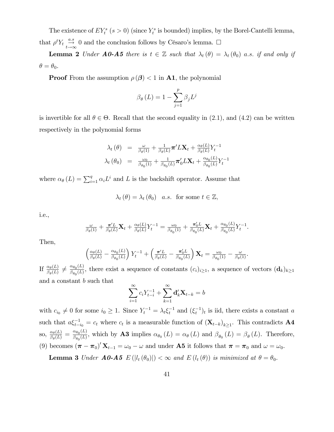The existence of  $EY_t^s$  ( $s > 0$ ) (since  $Y_t^s$  is bounded) implies, by the Borel-Cantelli lemma, that  $\rho^t Y_t \stackrel{a.s}{\rightarrow} 0$  and the conclusion follows by Césaro's lemma.  $\Box$ 

**Lemma 2** Under **A0-A5** there is  $t \in \mathbb{Z}$  such that  $\lambda_t (\theta) = \lambda_t (\theta_0)$  a.s. if and only if  $\theta = \theta_0.$ 

**Proof** From the assumption  $\rho(\boldsymbol{\beta}) < 1$  in A1, the polynomial

$$
\beta_{\theta}(L) = 1 - \sum_{j=1}^{p} \beta_j L^j
$$

is invertible for all  $\theta \in \Theta$ . Recall that the second equality in (2.1), and (4.2) can be written respectively in the polynomial forms

$$
\lambda_t(\theta) = \frac{\omega}{\beta_{\theta}(1)} + \frac{1}{\beta_{\theta}(L)} \pi' L \mathbf{X}_t + \frac{\alpha_{\theta}(L)}{\beta_{\theta}(L)} Y_t^{-1}
$$

$$
\lambda_t(\theta_0) = \frac{\omega_0}{\beta_{\theta_0}(1)} + \frac{1}{\beta_{\theta_0}(L)} \pi'_0 L \mathbf{X}_t + \frac{\alpha_{\theta_0}(L)}{\beta_{\theta_0}(L)} Y_t^{-1}
$$

where  $\alpha_{\theta}(L) = \sum_{i=1}^{q} \alpha_i L^i$  and L is the backshift operator. Assume that

 $\lambda_t (\theta) = \lambda_t (\theta_0)$  a.s. for some  $t \in \mathbb{Z}$ ,

i.e.,

$$
\frac{\omega}{\beta_{\theta}(1)} + \frac{\pi' L}{\beta_{\theta}(L)} \mathbf{X}_t + \frac{\alpha_{\theta}(L)}{\beta_{\theta}(L)} Y_t^{-1} = \frac{\omega_0}{\beta_{\theta_0}(1)} + \frac{\pi'_0 L}{\beta_{\theta_0}(L)} \mathbf{X}_t + \frac{\alpha_{\theta_0}(L)}{\beta_{\theta_0}(L)} Y_t^{-1}.
$$

Then,

$$
\left(\frac{\alpha_{\theta}(L)}{\beta_{\theta}(L)}-\frac{\alpha_{\theta_0}(L)}{\beta_{\theta_0}(L)}\right)Y_t^{-1}+\left(\frac{\pi' L}{\beta_{\theta}(L)}-\frac{\pi'_{0}L}{\beta_{\theta_0}(L)}\right)\mathbf{X}_t=\frac{\omega_0}{\beta_{\theta_0}(1)}-\frac{\omega}{\beta_{\theta}(1)}.
$$

If  $\frac{\alpha_{\theta}(L)}{\beta_{\theta}(L)} \neq \frac{\alpha_{\theta_0}(L)}{\beta_{\theta_0}(L)}$  $\frac{\alpha_{\theta_0}(L)}{\beta_{\theta_0}(L)}$ , there exist a sequence of constants  $(c_i)_{i\geq 1}$ , a sequence of vectors  $(\mathbf{d}_k)_{k\geq 1}$ and a constant b such that

$$
\sum_{i=1}^{\infty} c_i Y_{t-i}^{-1} + \sum_{k=1}^{\infty} \mathbf{d}'_k \mathbf{X}_{t-k} = b
$$

with  $c_{i0} \neq 0$  for some  $i_0 \geq 1$ . Since  $Y_t^{-1} = \lambda_t \xi_t^{-1}$  and  $(\xi_t^{-1})_t$  is iid, there exists a constant a such that  $a\xi_{t-i_0}^{-1} = c_t$  where  $c_t$  is a measurable function of  $(\mathbf{X}_{t-k})_{k\geq 1}$ . This contradicts **A4** so,  $\frac{\alpha_{\theta}(L)}{\beta_{\theta}(L)}$  $\frac{\alpha_{\theta}(L)}{\beta_{\theta}(L)} = \frac{\alpha_{\theta_0}(L)}{\beta_{\theta_0}(L)}$  $\frac{\alpha_{\theta_0}(L)}{\beta_{\theta_0}(L)}$ , which by **A3** implies  $\alpha_{\theta_0}(L) = \alpha_{\theta}(L)$  and  $\beta_{\theta_0}(L) = \beta_{\theta}(L)$ . Therefore, (9) becomes  $(\boldsymbol{\pi} - \boldsymbol{\pi}_0)' \mathbf{X}_{t-1} = \omega_0 - \omega$  and under **A5** it follows that  $\boldsymbol{\pi} = \boldsymbol{\pi}_0$  and  $\omega = \omega_0$ .

**Lemma 3** Under **A0-A5**  $E(|l_t(\theta_0)|) < \infty$  and  $E(l_t(\theta))$  is minimized at  $\theta = \theta_0$ .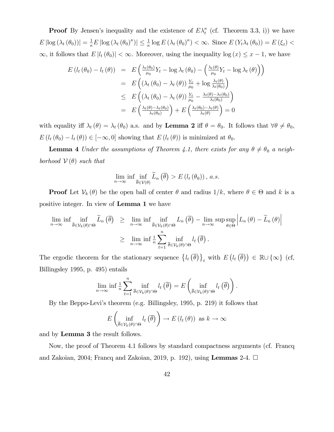**Proof** By Jensen's inequality and the existence of  $E\lambda_t^{\kappa}$  (cf. Theorem 3.3, i)) we have  $E\left[\log\left(\lambda_t(\theta_0)\right)\right] = \frac{1}{\kappa}E\left[\log\left(\lambda_t(\theta_0)^{\kappa}\right)\right] \leq \frac{1}{\kappa}\log E\left(\lambda_t(\theta_0)^{\kappa}\right) < \infty.$  Since  $E\left(Y_t\lambda_t(\theta_0)\right) = E\left(\xi_t\right) <$  $\infty$ , it follows that  $E |l_t(\theta_0)| < \infty$ . Moreover, using the inequality log  $(x) \leq x - 1$ , we have

$$
E(l_t(\theta_0) - l_t(\theta)) = E\left(\frac{\lambda_t(\theta_0)}{\mu_0}Y_t - \log \lambda_t(\theta_0) - \left(\frac{\lambda_t(\theta)}{\mu_0}Y_t - \log \lambda_t(\theta)\right)\right)
$$
  
\n
$$
= E\left((\lambda_t(\theta_0) - \lambda_t(\theta))\frac{Y_t}{\mu_0} + \log \frac{\lambda_t(\theta)}{\lambda_t(\theta_0)}\right)
$$
  
\n
$$
\leq E\left((\lambda_t(\theta_0) - \lambda_t(\theta))\frac{Y_t}{\mu_0} - \frac{\lambda_t(\theta) - \lambda_t(\theta_0)}{\lambda_t(\theta_0)}\right)
$$
  
\n
$$
= E\left(\frac{\lambda_t(\theta) - \lambda_t(\theta_0)}{\lambda_t(\theta_0)}\right) + E\left(\frac{\lambda_t(\theta_0) - \lambda_t(\theta)}{\lambda_t(\theta)}\right) = 0
$$

with equality iff  $\lambda_t(\theta) = \lambda_t(\theta_0)$  a.s. and by **Lemma 2** iff  $\theta = \theta_0$ . It follows that  $\forall \theta \neq \theta_0$ ,  $E(l_t(\theta_0) - l_t(\theta)) \in [-\infty, 0]$  showing that  $E(l_t(\theta))$  is minimized at  $\theta_0$ .

**Lemma 4** Under the assumptions of Theorem 4.1, there exists for any  $\theta \neq \theta_0$  a neighborhood  $V(\theta)$  such that

$$
\lim_{n\to\infty}\inf\inf_{\overline{\theta}\in\mathcal{V}(\theta)}\widetilde{L}_n\left(\overline{\theta}\right) > E\left(l_t\left(\theta_0\right)\right),\ a.s.
$$

**Proof** Let  $V_k(\theta)$  be the open ball of center  $\theta$  and radius  $1/k$ , where  $\theta \in \Theta$  and k is a positive integer. In view of Lemma 1 we have

$$
\lim_{n \to \infty} \inf \inf_{\overline{\theta} \in \mathcal{V}_k(\theta) \cap \Theta} \widetilde{L}_n(\overline{\theta}) \geq \lim_{n \to \infty} \inf \inf_{\overline{\theta} \in \mathcal{V}_k(\theta) \cap \Theta} L_n(\overline{\theta}) - \lim_{n \to \infty} \sup \sup_{\theta \in \Theta} \left| L_n(\theta) - \widetilde{L}_n(\theta) \right|
$$
  
\n
$$
\geq \lim_{n \to \infty} \inf \frac{1}{n} \sum_{t=1}^n \inf_{\overline{\theta} \in \mathcal{V}_k(\theta) \cap \Theta} l_t(\overline{\theta}).
$$

The ergodic theorem for the stationary sequence  $\{l_t(\bar{\theta})\}_t$  with  $E(l_t(\bar{\theta})) \in \mathbb{R} \cup \{\infty\}$  (cf, Billingsley 1995, p. 495) entails

$$
\lim_{n\to\infty}\inf\frac{1}{n}\sum_{t=1}^n\inf_{\overline{\theta}\in\mathcal{V}_k(\theta)\cap\Theta}l_t\left(\overline{\theta}\right)=E\left(\inf_{\overline{\theta}\in\mathcal{V}_k(\theta)\cap\Theta}l_t\left(\overline{\theta}\right)\right).
$$

By the Beppo-Leviís theorem (e.g. Billingsley, 1995, p. 219) it follows that

$$
E\left(\inf_{\overline{\theta}\in\mathcal{V}_{k}(\theta)\cap\Theta}l_{t}\left(\overline{\theta}\right)\right)\to E\left(l_{t}\left(\theta\right)\right) \text{ as } k\to\infty
$$

and by Lemma 3 the result follows.

Now, the proof of Theorem 4.1 follows by standard compactness arguments (cf. Francq and Zakoian, 2004; Francq and Zakoian, 2019, p. 192), using Lemmas 2-4.  $\Box$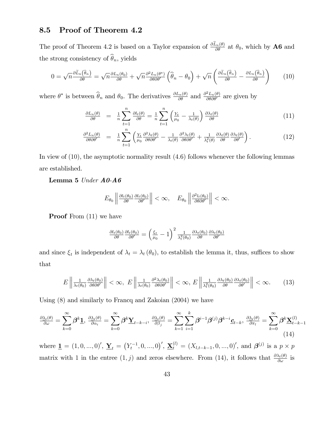### 8.5 Proof of Theorem 4.2

The proof of Theorem 4.2 is based on a Taylor expansion of  $\frac{\partial \tilde{L}_n(\theta)}{\partial \theta}$  at  $\theta_0$ , which by **A6** and the strong consistency of  $\widehat{\theta}_n,$  yields

$$
0 = \sqrt{n} \frac{\partial \tilde{L}_n(\hat{\theta}_n)}{\partial \theta} = \sqrt{n} \frac{\partial L_n(\theta_0)}{\partial \theta} + \sqrt{n} \frac{\partial^2 L_n(\theta^*)}{\partial \theta \partial \theta'} \left( \hat{\theta}_n - \theta_0 \right) + \sqrt{n} \left( \frac{\partial \tilde{L}_n(\hat{\theta}_n)}{\partial \theta} - \frac{\partial L_n(\hat{\theta}_n)}{\partial \theta} \right) \tag{10}
$$

where  $\theta^*$  is between  $\widehat{\theta}_n$  and  $\theta_0$ . The derivatives  $\frac{\partial L_n(\theta)}{\partial \theta}$  and  $\frac{\partial^2 L_n(\theta)}{\partial \theta \partial \theta'}$  are given by

$$
\frac{\partial L_n(\theta)}{\partial \theta} = \frac{1}{n} \sum_{t=1}^n \frac{\partial l_t(\theta)}{\partial \theta} = \frac{1}{n} \sum_{t=1}^n \left( \frac{Y_t}{\mu_0} - \frac{1}{\lambda_t(\theta)} \right) \frac{\partial \lambda_t(\theta)}{\partial \theta} \tag{11}
$$

$$
\frac{\partial^2 L_n(\theta)}{\partial \theta \partial \theta'} = \frac{1}{n} \sum_{t=1}^n \left( \frac{Y_t}{\mu_0} \frac{\partial^2 \lambda_t(\theta)}{\partial \theta \partial \theta'} - \frac{1}{\lambda_t(\theta)} \frac{\partial^2 \lambda_t(\theta)}{\partial \theta \partial \theta'} + \frac{1}{\lambda_t^2(\theta)} \frac{\partial \lambda_t(\theta)}{\partial \theta} \frac{\partial \lambda_t(\theta)}{\partial \theta'} \right).
$$
(12)

In view of (10), the asymptotic normality result (4.6) follows whenever the following lemmas are established.

Lemma 5 Under A0-A6

$$
E_{\theta_0} \left\| \frac{\partial l_t(\theta_0)}{\partial \theta} \frac{\partial l_t(\theta_0)}{\partial \theta'} \right\| < \infty, \quad E_{\theta_0} \left\| \frac{\partial^2 l_t(\theta_0)}{\partial \theta \partial \theta'} \right\| < \infty.
$$

**Proof** From  $(11)$  we have

$$
\frac{\partial l_t(\theta_0)}{\partial \theta} \frac{\partial l_t(\theta_0)}{\partial \theta'} = \left(\frac{\xi_t}{\mu_0} - 1\right)^2 \frac{1}{\lambda_t^2(\theta_0)} \frac{\partial \lambda_t(\theta_0)}{\partial \theta} \frac{\partial \lambda_t(\theta_0)}{\partial \theta'}
$$

and since  $\xi_t$  is independent of  $\lambda_t = \lambda_t (\theta_0)$ , to establish the lemma it, thus, suffices to show that

$$
E\left\|\frac{1}{\lambda_t(\theta_0)}\frac{\partial \lambda_t(\theta_0)}{\partial \theta \partial \theta'}\right\| < \infty, \ E\left\|\frac{1}{\lambda_t(\theta_0)}\frac{\partial^2 \lambda_t(\theta_0)}{\partial \theta \partial \theta'}\right\| < \infty, \ E\left\|\frac{1}{\lambda_t^2(\theta_0)}\frac{\partial \lambda_t(\theta_0)}{\partial \theta}\frac{\partial \lambda_t(\theta_0)}{\partial \theta'}\right\| < \infty.
$$
 (13)

Using (8) and similarly to Francq and Zakoian (2004) we have

$$
\frac{\partial \lambda_t(\theta)}{\partial \omega} = \sum_{k=0}^{\infty} \beta^k \mathbf{1}, \quad \frac{\partial \lambda_t(\theta)}{\partial \alpha_i} = \sum_{k=0}^{\infty} \beta^k \mathbf{Y}_{t-k-i}, \quad \frac{\partial \lambda_t(\theta)}{\partial \beta_j} = \sum_{k=1}^{\infty} \sum_{i=1}^k \beta^{i-1} \beta^{(j)} \beta^{k-i} \mathbf{C}_{t-k}, \quad \frac{\partial \lambda_t(\theta)}{\partial \pi_i} = \sum_{k=0}^{\infty} \beta^k \mathbf{X}_{t-k-1}^{(l)}
$$
\n(14)

where  $\underline{\mathbf{1}} = (1, 0, ..., 0)$ ,  $\underline{\mathbf{Y}}_t = (Y_t^{-1}, 0, ..., 0)$ ,  $\underline{\mathbf{X}}_t^{(l)} = (X_{l,t-k-1}, 0, ..., 0)$ , and  $\boldsymbol{\beta}^{(j)}$  is a  $p \times p$ matrix with 1 in the entree  $(1, j)$  and zeros elsewhere. From  $(14)$ , it follows that  $\frac{\partial \lambda_t(\theta)}{\partial \omega}$  is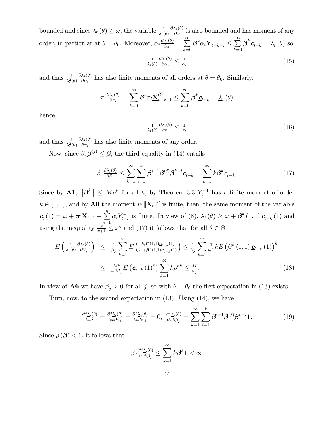bounded and since  $\lambda_t(\theta) \geq \omega$ , the variable  $\frac{1}{\lambda_t(\theta)}$  $\frac{\partial \lambda_t(\theta)}{\partial \omega}$  is also bounded and has moment of any order, in particular at  $\theta = \theta_0$ . Moreover,  $\alpha_i \frac{\partial \lambda_i(\theta)}{\partial \alpha_i}$  $\frac{\underline{\lambda}_t(\theta)}{\partial \alpha_i} = \sum_{k=0}^{\infty}$  $_{k=0}$  $\boldsymbol{\beta}^{k} \alpha_{i} \underline{\mathbf{Y}}_{t-k-i} \leq \sum_{i=0}^{\infty}$  $_{k=0}$  $\boldsymbol{\beta}^{k} \underline{\boldsymbol{c}}_{t-k} = \underline{\lambda}_{t}(\theta)$  so

$$
\frac{1}{\lambda_t(\theta)} \frac{\partial \lambda_t(\theta)}{\partial \alpha_i} \le \frac{1}{\alpha_i} \tag{15}
$$

and thus  $\frac{1}{\lambda_t^2(\theta)}$  $\partial \lambda_t(\theta)$  $\frac{\partial u(t)}{\partial \alpha_i}$  has also finite moments of all orders at  $\theta = \theta_0$ . Similarly,

$$
\pi_l \frac{\partial \underline{\lambda}_t(\theta)}{\partial \pi_l} = \sum_{k=0}^{\infty} \beta^k \pi_l \underline{\mathbf{X}}_{t-k-1}^{(l)} \le \sum_{k=0}^{\infty} \beta^k \underline{\mathbf{c}}_{t-k} = \underline{\lambda}_t(\theta)
$$

hence,

$$
\frac{1}{\lambda_t(\theta)} \frac{\partial \underline{\lambda_t(\theta)}}{\partial \pi_l} \le \frac{1}{\pi_l} \tag{16}
$$

and thus  $\frac{1}{\lambda_t^2(\theta)}$  $\partial \lambda_t(\theta)$  $\frac{\lambda_t(\theta)}{\partial \pi_l}$  has also finite moments of any order.

Now, since  $\beta_j \boldsymbol{\beta}^{(j)} \leq \boldsymbol{\beta}$ , the third equality in (14) entails

$$
\beta_j \frac{\partial \underline{\lambda}_t(\theta)}{\partial \beta_j} \le \sum_{k=1}^{\infty} \sum_{i=1}^k \beta^{i-1} \beta^{(j)} \beta^{k-i} \underline{c}_{t-k} = \sum_{k=1}^{\infty} k \beta^k \underline{c}_{t-k}.
$$
 (17)

Since by A1,  $\|\boldsymbol{\beta}^k\| \leq M\rho^k$  for all k, by Theorem 3.3  $Y_t^{-1}$  has a finite moment of order  $\kappa \in (0, 1)$ , and by **A0** the moment  $E \|\mathbf{X}_t\|^{\kappa}$  is finite, then, the same moment of the variable  $\underline{\mathbf{c}}_{t}\left(1\right)=\omega+\boldsymbol{\pi}'\mathbf{X}_{t-1}+\sum_{i=1}^{q}% \alpha_{i}\mathbf{v}_{t}+\cdots+\sum_{i=1}^{q}(\alpha_{i}\mathbf{v}_{t}+\mathbf{v}_{t}+\mathbf{v}_{t}+\mathbf{v}_{t}+\mathbf{v}_{t}+\mathbf{v}_{t}+\mathbf{v}_{t}+\mathbf{v}_{t}+\mathbf{v}_{t}+\mathbf{v}_{t}+\mathbf{v}_{t}+\mathbf{v}_{t}+\mathbf{v}_{t}+\mathbf{v}_{t}+\mathbf{v}_{t}+\mathbf{v}_{t}+\mathbf{v}_{t}+\mathbf{v}_{t}+\$  $i=1$  $\alpha_i Y_{t-i}^{-1}$  is finite. In view of (8),  $\lambda_t(\theta) \geq \omega + \beta^k(1,1) \underline{\mathbf{c}}_{t-k}(1)$  and using the inequality  $\frac{x}{x+1} \leq x^{\kappa}$  and (17) it follows that for all  $\theta \in \Theta$ 

$$
E\left(\frac{1}{\lambda_t(\theta)}\frac{\partial \lambda_t(\theta)}{\partial \beta_j}\right) \leq \frac{1}{\beta_j} \sum_{k=1}^{\infty} E\left(\frac{k\beta^k(1,1)\underline{c}_{t-k}(1)}{\omega + \beta^k(1,1)\underline{c}_{t-k}(1)}\right) \leq \frac{1}{\beta_j} \sum_{k=1}^{\infty} \frac{1}{\omega^k} k E\left(\beta^k(1,1)\underline{c}_{t-k}(1)\right)^k
$$
  

$$
\leq \frac{M^{\kappa}}{\omega^{\kappa} \beta_j} E\left(\underline{c}_{t-k}(1)^{\kappa}\right) \sum_{k=1}^{\infty} k \rho^{\kappa k} \leq \frac{M}{\beta_j}.
$$
 (18)

In view of **A6** we have  $\beta_j > 0$  for all j, so with  $\theta = \theta_0$  the first expectation in (13) exists.

Turn, now, to the second expectation in (13). Using (14), we have

$$
\frac{\partial^2 \lambda_i(\theta)}{\partial \omega^2} = \frac{\partial^2 \lambda_i(\theta)}{\partial \omega \partial \alpha_i} = \frac{\partial^2 \lambda_i(\theta)}{\partial \omega \partial \pi_l} = 0, \ \ \frac{\partial^2 \lambda_i(\theta)}{\partial \omega \partial \beta_j} = \sum_{k=1}^{\infty} \sum_{i=1}^k \beta^{i-1} \beta^{(j)} \beta^{k-i} \mathbf{1}.
$$
 (19)

Since  $\rho(\boldsymbol{\beta}) < 1$ , it follows that

$$
\beta_j \frac{\partial^2 \underline{\lambda}_t(\theta)}{\partial \omega \partial \beta_j} \le \sum_{k=1}^{\infty} k \beta^k \underline{\mathbf{1}} < \infty
$$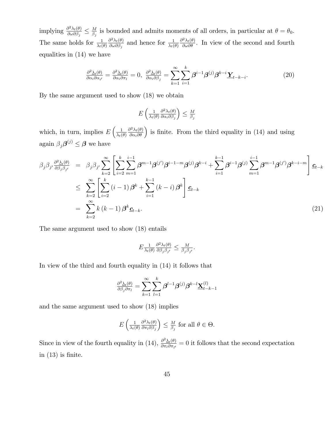implying  $\frac{\partial^2 \lambda_t(\theta)}{\partial \omega \partial \beta}$  $\frac{\partial^2 \lambda_t(\theta)}{\partial \omega \partial \beta_j} \leq \frac{M}{\beta_j}$  $\frac{M}{\beta_j}$  is bounded and admits moments of all orders, in particular at  $\theta = \theta_0$ . The same holds for  $\frac{1}{\lambda_t(\theta)}$  $\partial^2 \lambda_t(\theta)$  $\frac{\partial^2 \lambda_t(\theta)}{\partial \omega \partial \beta_j}$  and hence for  $\frac{1}{\lambda_t(\theta)}$  $\frac{\partial^2 \lambda_t(\theta)}{\partial \omega \partial \theta}$ . In view of the second and fourth equalities in (14) we have

$$
\frac{\partial^2 \lambda_t(\theta)}{\partial \alpha_i \partial \alpha_{i'}} = \frac{\partial^2 \lambda_t(\theta)}{\partial \alpha_i \partial \pi_l} = 0, \ \ \frac{\partial^2 \lambda_t(\theta)}{\partial \alpha_i \partial \beta_j} = \sum_{k=1}^{\infty} \sum_{i=1}^k \beta^{i-1} \beta^{(j)} \beta^{k-i} \underline{\mathbf{Y}}_{t-k-i}.
$$
 (20)

By the same argument used to show (18) we obtain

$$
E\left(\frac{1}{\lambda_t(\theta)}\frac{\partial^2 \lambda_t(\theta)}{\partial \alpha_i \partial \beta_j}\right) \leq \frac{M}{\beta_j}
$$

which, in turn, implies  $E\left(\frac{1}{\lambda}\right)$  $\lambda_t(\theta)$  $\left(\frac{\partial^2 \lambda_t(\theta)}{\partial \alpha_i \partial \theta}\right)$  is finite. From the third equality in (14) and using again  $\beta_j \boldsymbol{\beta}^{(j)} \leq \boldsymbol{\beta}$  we have

$$
\beta_{j}\beta_{j'}\frac{\partial^{2}\underline{\lambda}_{t}(\theta)}{\partial\beta_{j}\beta_{j'}} = \beta_{j}\beta_{j'}\sum_{k=2}^{\infty} \left[ \sum_{i=2}^{k} \sum_{m=1}^{i-1} \beta^{m-1}\beta^{(j')} \beta^{i-1-m} \beta^{(j)} \beta^{k-i} + \sum_{i=1}^{k-1} \beta^{i-1}\beta^{(j)} \sum_{m=1}^{i-1} \beta^{m-1}\beta^{(j')} \beta^{k-i-m} \right] \underline{c}_{t-k}
$$
\n
$$
\leq \sum_{k=2}^{\infty} \left[ \sum_{i=2}^{k} (i-1) \beta^{k} + \sum_{i=1}^{k-1} (k-i) \beta^{k} \right] \underline{c}_{t-k}
$$
\n
$$
= \sum_{k=2}^{\infty} k (k-1) \beta^{k} \underline{c}_{t-k}.
$$
\n(21)

The same argument used to show (18) entails

$$
E \frac{1}{\lambda_t(\theta)} \frac{\partial^2 \lambda_t(\theta)}{\partial \beta_j \beta_{j'}} \leq \frac{M}{\beta_j \beta_{j'}}.
$$

In view of the third and fourth equality in (14) it follows that

$$
\tfrac{\partial^2 \underline{\lambda}_t(\theta)}{\partial \beta_j \partial \pi_l} = \sum_{k=1}^{\infty} \sum_{l=1}^k \boldsymbol{\beta}^{l-1} \boldsymbol{\beta}^{(j)} \boldsymbol{\beta}^{k-l} \underline{\mathbf{X}}_{t-k-1}^{(l)}
$$

and the same argument used to show (18) implies

$$
E\left(\frac{1}{\lambda_t(\theta)}\frac{\partial^2 \lambda_t(\theta)}{\partial \pi_l \partial \beta_j}\right) \leq \frac{M}{\beta_j} \text{ for all } \theta \in \Theta.
$$

Since in view of the fourth equality in (14),  $\frac{\partial^2 \lambda_t(\theta)}{\partial \pi_i \partial \pi_i}$  $\frac{\partial^2 \Delta_t(\theta)}{\partial \pi_l \partial \pi_{l'}} = 0$  it follows that the second expectation in  $(13)$  is finite.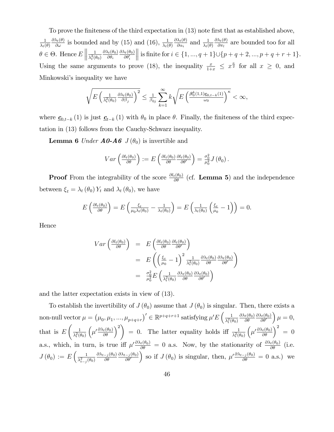To prove the finiteness of the third expectation in (13) note first that as established above, 1  $\lambda_t(\theta)$  $\frac{\partial \lambda_t(\theta)}{\partial \omega}$  is bounded and by (15) and (16),  $\frac{1}{\lambda_t(\theta)}$  $\lambda_t(\theta)$  $\partial\lambda_t(\theta)$  $\frac{\lambda_t(\theta)}{\partial \alpha_i}$  and  $\frac{1}{\lambda_t(\theta)}$  $\partial\lambda_t(\theta)$  $\frac{\lambda_t(\theta)}{\partial \pi_l}$  are bounded too for all  $\theta \in \Theta$ . Hence  $E \parallel$ 1  $\overline{\lambda_t^2(\theta_0)}$  $\partial\lambda_t(\theta_0)$  $\partial\theta_i$  $\frac{\partial \lambda_t(\theta_0)}{\partial \theta_i'}$ lis finite for  $i \in \{1, ..., q + 1\} \cup \{p + q + 2, ..., p + q + r + 1\}.$ Using the same arguments to prove (18), the inequality  $\frac{x}{1+x} \leq x^{\frac{\kappa}{2}}$  for all  $x \geq 0$ , and Minkowski's inequality we have

$$
\sqrt{E\left(\frac{1}{\lambda_t^2(\theta_0)}\frac{\partial \lambda_t(\theta_0)}{\partial \beta_j}\right)^2} \leq \frac{1}{\beta_{0j}} \sum_{k=1}^{\infty} k \sqrt{E\left(\frac{\beta_0^k(1,1)\underline{c}_{0,t-k}(1)}{\omega_0}\right)^{\kappa}} < \infty,
$$

where  $\underline{c}_{0,t-k}(1)$  is just  $\underline{c}_{t-k}(1)$  with  $\theta_0$  in place  $\theta$ . Finally, the finiteness of the third expectation in (13) follows from the Cauchy-Schwarz inequality.

**Lemma 6** Under  $\mathbf{A0}$ - $\mathbf{A6}$   $J(\theta_0)$  is invertible and

$$
Var\left(\frac{\partial l_t(\theta_0)}{\partial \theta}\right) := E\left(\frac{\partial l_t(\theta_0)}{\partial \theta}\frac{\partial l_t(\theta_0)}{\partial \theta'}\right) = \frac{\sigma_0^2}{\mu_0^2} J(\theta_0).
$$

**Proof** From the integrability of the score  $\frac{\partial l_t(\theta_0)}{\partial \theta}$  (cf. **Lemma 5**) and the independence between  $\xi_t = \lambda_t (\theta_0) Y_t$  and  $\lambda_t (\theta_0)$ , we have

$$
E\left(\frac{\partial l_t(\theta_0)}{\partial \theta}\right) = E\left(\frac{\xi_t}{\mu_0 \lambda_t(\theta_0)} - \frac{1}{\lambda_t(\theta_0)}\right) = E\left(\frac{1}{\lambda_t(\theta_0)}\left(\frac{\xi_t}{\mu_0} - 1\right)\right) = 0.
$$

Hence

$$
Var\left(\frac{\partial l_t(\theta_0)}{\partial \theta}\right) = E\left(\frac{\partial l_t(\theta_0)}{\partial \theta} \frac{\partial l_t(\theta_0)}{\partial \theta'}\right)
$$
  
= 
$$
E\left(\left(\frac{\xi_t}{\mu_0} - 1\right)^2 \frac{1}{\lambda_t^2(\theta_0)} \frac{\partial \lambda_t(\theta_0)}{\partial \theta} \frac{\partial \lambda_t(\theta_0)}{\partial \theta'}\right)
$$
  
= 
$$
\frac{\sigma_0^2}{\mu_0^2} E\left(\frac{1}{\lambda_t^2(\theta_0)} \frac{\partial \lambda_t(\theta_0)}{\partial \theta} \frac{\partial \lambda_t(\theta_0)}{\partial \theta'}\right)
$$

and the latter expectation exists in view of (13).

To establish the invertibility of  $J(\theta_0)$  assume that  $J(\theta_0)$  is singular. Then, there exists a non-null vector  $\mu = (\mu_0, \mu_1, ..., \mu_{p+q+r})' \in \mathbb{R}^{p+q+r+1}$  satisfying  $\mu' E\left(\frac{1}{\lambda_t^2(\mu)}\right)$  $\overline{\lambda_t^2(\theta_0)}$  $\partial\lambda_t(\theta_0)$  $\partial \theta$  $\frac{\partial \lambda_t(\theta_0)}{\partial \theta'}$  $\mu = 0,$ that is  $E$  $\begin{pmatrix} 1 \end{pmatrix}$  $\overline{\lambda_t^2(\theta_0)}$  $\left(\mu' \frac{\partial \lambda_t(\theta_0)}{\partial \theta}\right)^2$ = 0. The latter equality holds iff  $\frac{1}{\lambda_t^2(\theta_0)}$  $\left(\mu' \frac{\partial \lambda_t(\theta_0)}{\partial \theta}\right)^2 = 0$ a.s., which, in turn, is true iff  $\mu' \frac{\partial \lambda_t(\theta_0)}{\partial \theta} = 0$  a.s. Now, by the stationarity of  $\frac{\partial \lambda_t(\theta_0)}{\partial \theta}$  (i.e.  $J(\theta_0) := E\left(\frac{1}{\lambda^2}\right)$  $\overline{\lambda_{t-j}^2(\theta_0)}$  $\partial\lambda_{t-j}(\theta_0)$  $\partial \theta$  $\partial\lambda_{t-j}(\theta_0)$  $\bar{\partial \theta'}$ ) so if  $J(\theta_0)$  is singular, then,  $\mu' \frac{\partial \lambda_{t-j}(\theta_0)}{\partial \theta} = 0$  a.s.) we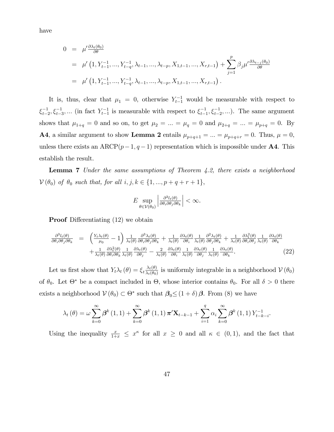have

$$
0 = \mu' \frac{\partial \lambda_t(\theta_0)}{\partial \theta}
$$
  
=  $\mu' (1, Y_{t-1}^{-1}, ..., Y_{t-q}^{-1}, \lambda_{t-1}, ..., \lambda_{t-p}, X_{1,t-1}, ..., X_{r,t-1}) + \sum_{j=1}^p \beta_j \mu' \frac{\partial \lambda_{t-j}(\theta_0)}{\partial \theta}$   
=  $\mu' (1, Y_{t-1}^{-1}, ..., Y_{t-q}^{-1}, \lambda_{t-1}, ..., \lambda_{t-p}, X_{1,t-1}, ..., X_{r,t-1}).$ 

It is, thus, clear that  $\mu_1 = 0$ , otherwise  $Y_{t-1}^{-1}$  would be measurable with respect to  $\xi_{t-2}^{-1}, \xi_{t-3}^{-1}, \dots$  (in fact  $Y_{t-1}^{-1}$  is measurable with respect to  $\xi_{t-1}^{-1}, \xi_{t-2}^{-1}, \dots$ ). The same argument shows that  $\mu_{1+q} = 0$  and so on, to get  $\mu_2 = ... = \mu_q = 0$  and  $\mu_{2+q} = ... = \mu_{p+q} = 0$ . By **A4**, a similar argument to show Lemma 2 entails  $\mu_{p+q+1} = ... = \mu_{p+q+r} = 0$ . Thus,  $\mu = 0$ , unless there exists an ARCP $(p-1, q-1)$  representation which is impossible under **A4**. This establish the result.

**Lemma 7** Under the same assumptions of Theorem  $4.2$ , there exists a neighborhood  $V(\theta_0)$  of  $\theta_0$  such that, for all  $i, j, k \in \{1, ..., p + q + r + 1\},\$ 

$$
E \sup_{\theta \in \mathcal{V}(\theta_0)} \left| \frac{\partial^3 l_t(\theta)}{\partial \theta_i \partial \theta_j \partial \theta_k} \right| < \infty.
$$

**Proof** Differentiating  $(12)$  we obtain

$$
\frac{\partial^3 l_t(\theta)}{\partial \theta_i \partial \theta_j \partial \theta_k} = \left( \frac{Y_t \lambda_t(\theta)}{\mu_0} - 1 \right) \frac{1}{\lambda_t(\theta)} \frac{\partial^3 \lambda_t(\theta)}{\partial \theta_i \partial \theta_j \partial \theta_k} + \frac{1}{\lambda_t(\theta)} \frac{\partial \lambda_t(\theta)}{\partial \theta_i} \frac{1}{\lambda_t(\theta)} \frac{\partial^2 \lambda_t(\theta)}{\partial \theta_j \partial \theta_k} + \frac{1}{\lambda_t(\theta)} \frac{\partial \lambda_t^2(\theta)}{\partial \theta_i \partial \theta_j} \frac{1}{\lambda_t(\theta)} \frac{\partial \lambda_t(\theta)}{\partial \theta_k} + \frac{1}{\lambda_t(\theta)} \frac{\partial \lambda_t^2(\theta)}{\partial \theta_i \partial \theta_k} \frac{1}{\lambda_t(\theta)} \frac{\partial \lambda_t(\theta)}{\partial \theta_j} - \frac{2}{\lambda_t(\theta)} \frac{\partial \lambda_t(\theta)}{\partial \theta_i} \frac{1}{\lambda_t(\theta)} \frac{\partial \lambda_t(\theta)}{\partial \theta_j} \frac{1}{\lambda_t(\theta)} \frac{\partial \lambda_t(\theta)}{\partial \theta_k}.
$$
\n(22)

Let us first show that  $Y_t \lambda_t (\theta) = \xi_t \frac{\lambda_t(\theta)}{\lambda_t(\theta)}$  $\frac{\lambda_t(\theta)}{\lambda_t(\theta_0)}$  is uniformly integrable in a neighborhood  $\mathcal{V}(\theta_0)$ of  $\theta_0$ . Let  $\Theta^*$  be a compact included in  $\Theta$ , whose interior contains  $\theta_0$ . For all  $\delta > 0$  there exists a neighborhood  $V(\theta_0) \subset \Theta^*$  such that  $\beta_0 \leq (1+\delta)\beta$ . From (8) we have

$$
\lambda_{t}(\theta) = \omega \sum_{k=0}^{\infty} \beta^{k} (1,1) + \sum_{k=0}^{\infty} \beta^{k} (1,1) \pi^{t} \mathbf{X}_{t-k-1} + \sum_{i=1}^{q} \alpha_{i} \sum_{k=0}^{\infty} \beta^{k} (1,1) Y_{t-k-i}^{-1}.
$$

Using the inequality  $\frac{x}{1+x} \leq x^{\kappa}$  for all  $x \geq 0$  and all  $\kappa \in (0,1)$ , and the fact that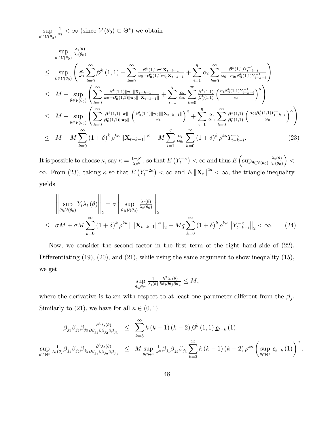sup  $\theta \in \mathcal{V}(\theta_0)$ 1  $\frac{1}{\alpha_i} < \infty$  (since  $V(\theta_0) \subset \Theta^*$ ) we obtain

$$
\sup_{\theta \in \mathcal{V}(\theta_{0})} \frac{\lambda_{t}(\theta)}{\lambda_{t}(\theta_{0})} \n\leq \sup_{\theta \in \mathcal{V}(\theta_{0})} \left( \frac{\omega}{\omega_{0}} \sum_{k=0}^{\infty} \beta^{k} (1,1) + \sum_{k=0}^{\infty} \frac{\beta^{k} (1,1) \pi^{t} \mathbf{X}_{t-k-1}}{\omega_{0} + \beta_{0}^{k} (1,1) \pi_{0}^{t} \mathbf{X}_{t-k-1}} + \sum_{i=1}^{q} \alpha_{i} \sum_{k=0}^{\infty} \frac{\beta^{k} (1,1) Y_{t-k-i}^{-1}}{\omega_{0} + \alpha_{0} i \beta_{0}^{k} (1,1) Y_{t-k-i}^{-1}} \right) \n\leq M + \sup_{\theta \in \mathcal{V}(\theta_{0})} \left( \sum_{k=0}^{\infty} \frac{\beta^{k} (1,1) \|\pi\| \|\mathbf{X}_{t-k-1}\|}{\omega_{0} + \beta_{0}^{k} (1,1) \|\pi_{0}\| \|\mathbf{X}_{t-k-1}\|} + \sum_{i=1}^{q} \frac{\alpha_{i}}{\alpha_{0}} \sum_{k=0}^{\infty} \frac{\beta^{k} (1,1)}{\beta_{0}^{k} (1,1)} \left( \frac{\alpha_{i} \beta_{0}^{k} (1,1) Y_{t-k-i}^{-1}}{\omega_{0}} \right)^{\kappa} \right) \n\leq M + \sup_{\theta \in \mathcal{V}(\theta_{0})} \left( \sum_{k=0}^{\infty} \frac{\beta^{k} (1,1) \|\pi\|}{\beta_{0}^{k} (1,1) \|\pi_{0}\|} \left( \frac{\beta_{0}^{k} (1,1) \|\pi_{0}\| \|\mathbf{X}_{t-k-1}\|}{\omega_{0}} \right)^{\kappa} + \sum_{i=1}^{q} \frac{\alpha_{i}}{\alpha_{0i}} \sum_{k=0}^{\infty} \frac{\beta^{k} (1,1)}{\beta_{0}^{k} (1,1)} \left( \frac{\alpha_{0} \beta_{0}^{k} (1,1) Y_{t-k-i}^{-1}}{\omega_{0}} \right)^{\kappa} \right) \n\leq M + M \sum_{k=0}^{\infty} (1 + \delta)^{k} \
$$

It is possible to choose  $\kappa$ , say  $\kappa = \frac{1-\rho^{\kappa}}{2\rho^{\kappa}}$  $\frac{1-\rho^{\kappa}}{2\rho^{\kappa}}$ , so that  $E(Y_t^{-\kappa}) < \infty$  and thus  $E\left(\sup_{\theta \in \mathcal{V}(\theta_0)} \frac{\lambda_t(\theta)}{\lambda_t(\theta_0)}\right)$  $\lambda_t(\theta_0)$  $\vert$  <  $\infty$ . From (23), taking  $\kappa$  so that  $E(Y_t^{-2\kappa}) < \infty$  and  $E\|\mathbf{X}_t\|^{2\kappa} < \infty$ , the triangle inequality yields

$$
\left\| \sup_{\theta \in \mathcal{V}(\theta_0)} Y_t \lambda_t(\theta) \right\|_2 = \sigma \left\| \sup_{\theta \in \mathcal{V}(\theta_0)} \frac{\lambda_t(\theta)}{\lambda_t(\theta_0)} \right\|_2
$$
  
 
$$
\leq \sigma M + \sigma M \sum_{k=0}^{\infty} (1+\delta)^k \rho^{k\kappa} ||\|\mathbf{X}_{t-k-1}\|^{\kappa} \|_2 + Mq \sum_{k=0}^{\infty} (1+\delta)^k \rho^{k\kappa} ||Y_{t-k-1}^{-\kappa} \|_2 < \infty.
$$
 (24)

Now, we consider the second factor in the first term of the right hand side of  $(22)$ . Differentiating  $(19)$ ,  $(20)$ , and  $(21)$ , while using the same argument to show inequality  $(15)$ , we get

$$
\sup_{\theta \in \Theta^*} \frac{1}{\lambda_t(\theta)} \frac{\partial^3 \lambda_t(\theta)}{\partial \theta_i \partial \theta_j \partial \theta_k} \le M,
$$

where the derivative is taken with respect to at least one parameter different from the  $\beta_j$ . Similarly to (21), we have for all  $\kappa \in (0, 1)$ 

$$
\beta_{j_1}\beta_{j_2}\beta_{j_3}\frac{\partial^3 \lambda_t(\theta)}{\partial \beta_{j_1}\partial \beta_{j_2}\partial \beta_{j_3}} \leq \sum_{k=3}^{\infty} k(k-1)(k-2)\beta^k(1,1)\underline{c}_{t-k}(1)
$$
  
\n
$$
\sup_{\theta \in \Theta^*} \frac{1}{\lambda_t(\theta)} \beta_{j_1}\beta_{j_2}\beta_{j_3}\frac{\partial^3 \lambda_t(\theta)}{\partial \beta_{j_1}\partial \beta_{j_2}\partial \beta_{j_3}} \leq M \sup_{\theta \in \Theta^*} \frac{1}{\omega^{\kappa}} \beta_{j_1}\beta_{j_2}\beta_{j_3}\sum_{k=3}^{\infty} k(k-1)(k-2)\rho^{k\kappa}\left(\sup_{\theta \in \Theta^*} \underline{c}_{t-k}(1)\right)^{\kappa}.
$$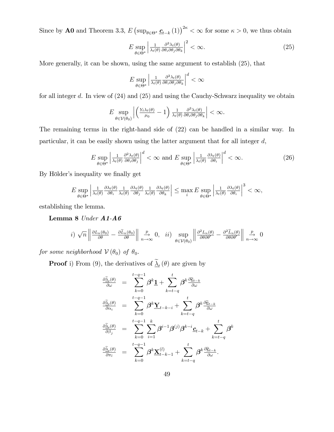Since by **A0** and Theorem 3.3,  $E \left( \sup_{\theta \in \Theta^*} \underline{c}_{t-k}(1) \right)^{2\kappa} < \infty$  for some  $\kappa > 0$ , we thus obtain

$$
E \sup_{\theta \in \Theta^*} \left| \frac{1}{\lambda_t(\theta)} \frac{\partial^3 \lambda_t(\theta)}{\partial \theta_i \partial \theta_j \partial \theta_k} \right|^2 < \infty. \tag{25}
$$

More generally, it can be shown, using the same argument to establish (25), that

$$
E \sup_{\theta \in \Theta^*} \left| \frac{1}{\lambda_t(\theta)} \frac{\partial^3 \lambda_t(\theta)}{\partial \theta_i \partial \theta_j \partial \theta_k} \right|^d < \infty
$$

for all integer  $d$ . In view of  $(24)$  and  $(25)$  and using the Cauchy-Schwarz inequality we obtain

$$
E \sup_{\theta \in \mathcal{V}(\theta_0)} \left| \left( \tfrac{Y_t \lambda_t(\theta)}{\mu_0} - 1 \right) \tfrac{1}{\lambda_t(\theta)} \tfrac{\partial^3 \lambda_t(\theta)}{\partial \theta_i \partial \theta_j \partial \theta_k} \right| < \infty.
$$

The remaining terms in the right-hand side of (22) can be handled in a similar way. In particular, it can be easily shown using the latter argument that for all integer d,

$$
E \sup_{\theta \in \Theta^*} \left| \frac{1}{\lambda_t(\theta)} \frac{\partial^2 \lambda_t(\theta)}{\partial \theta_i \partial \theta_j} \right|^d < \infty \text{ and } E \sup_{\theta \in \Theta^*} \left| \frac{1}{\lambda_t(\theta)} \frac{\partial \lambda_t(\theta)}{\partial \theta_i} \right|^d < \infty. \tag{26}
$$

By Hölder's inequality we finally get

$$
E \sup_{\theta \in \Theta^*} \left| \frac{1}{\lambda_t(\theta)} \frac{\partial \lambda_t(\theta)}{\partial \theta_i} \frac{1}{\lambda_t(\theta)} \frac{\partial \lambda_t(\theta)}{\partial \theta_j} \frac{1}{\lambda_t(\theta)} \frac{\partial \lambda_t(\theta)}{\partial \theta_k} \right| \le \max_i E \sup_{\theta \in \Theta^*} \left| \frac{1}{\lambda_t(\theta)} \frac{\partial \lambda_t(\theta)}{\partial \theta_i} \right|^3 < \infty,
$$

establishing the lemma.

Lemma 8 Under A1-A6

$$
i) \sqrt{n} \left\| \frac{\partial L_n(\theta_0)}{\partial \theta} - \frac{\partial \widetilde{L}_n(\theta_0)}{\partial \theta} \right\|_{n \to \infty} \stackrel{p}{\to} 0, \quad ii) \sup_{\theta \in \mathcal{V}(\theta_0)} \left\| \frac{\partial^2 L_n(\theta)}{\partial \theta \partial \theta'} - \frac{\partial^2 \widetilde{L}_n(\theta)}{\partial \theta \partial \theta'} \right\|_{n \to \infty} \stackrel{p}{\to} 0
$$

for some neighborhood  $V(\theta_0)$  of  $\theta_0$ .

**Proof** i) From (9), the derivatives of  $\Delta_t(\theta)$  are given by

$$
\begin{array}{lll} \frac{\partial \widetilde{\underline{\lambda}}_t(\theta)}{\partial \omega} & = & \displaystyle \sum_{k=0}^{t-q-1} \beta^k \underline{1} + \sum_{k=t-q}^{t} \beta^k \frac{\partial \widetilde{\underline{e}}_{t-k}}{\partial \omega} \\ \frac{\partial \widetilde{\underline{\lambda}}_t(\theta)}{\partial \alpha_i} & = & \displaystyle \sum_{k=0}^{t-q-1} \beta^k \underline{\mathbf{Y}}_{t-k-i} + \sum_{k=t-q}^{t} \beta^k \frac{\partial \widetilde{\underline{e}}_{t-k}}{\partial \omega} \\ \frac{\partial \widetilde{\underline{\lambda}}_t(\theta)}{\partial \beta_j} & = & \displaystyle \sum_{k=0}^{t-q-1} \sum_{i=1}^{k} \beta^{i-1} \beta^{(j)} \beta^{k-i} \underline{c}_{t-k} + \sum_{k=t-q}^{t} \beta^k \\ \frac{\partial \widetilde{\underline{\lambda}}_t(\theta)}{\partial \pi_l} & = & \displaystyle \sum_{k=0}^{t-q-1} \beta^k \underline{\mathbf{X}}_{t-k-1}^{(l)} + \sum_{k=t-q}^{t} \beta^k \frac{\partial \widetilde{\underline{e}}_{t-k}}{\partial \omega} . \end{array}
$$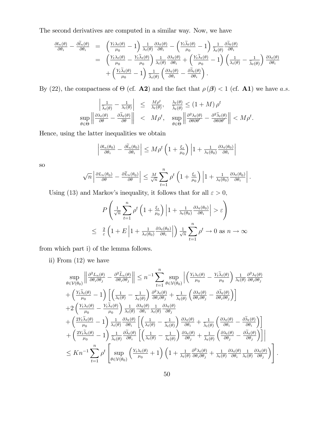The second derivatives are computed in a similar way. Now, we have

$$
\frac{\partial l_n(\theta)}{\partial \theta_i} - \frac{\partial \widetilde{l}_n(\theta)}{\partial \theta_i} = \left( \frac{Y_t \lambda_t(\theta)}{\mu_0} - 1 \right) \frac{1}{\lambda_t(\theta)} \frac{\partial \lambda_t(\theta)}{\partial \theta_i} - \left( \frac{Y_t \widetilde{\lambda}_t(\theta)}{\mu_0} - 1 \right) \frac{1}{\widetilde{\lambda}_t(\theta)} \frac{\partial \widetilde{\lambda}_t(\theta)}{\partial \theta_i} \n= \left( \frac{Y_t \lambda_t(\theta)}{\mu_0} - \frac{Y_t \widetilde{\lambda}_t(\theta)}{\mu_0} \right) \frac{1}{\lambda_t(\theta)} \frac{\partial \lambda_t(\theta)}{\partial \theta_i} + \left( \frac{Y_t \widetilde{\lambda}_t(\theta)}{\mu_0} - 1 \right) \left( \frac{1}{\lambda_t(\theta)} - \frac{1}{\widetilde{\lambda}_t(\theta)} \right) \frac{\partial \lambda_t(\theta)}{\partial \theta_i} \n+ \left( \frac{Y_t \widetilde{\lambda}_t(\theta)}{\mu_0} - 1 \right) \frac{1}{\widetilde{\lambda}_t(\theta)} \left( \frac{\partial \lambda_t(\theta)}{\partial \theta_i} - \frac{\partial \widetilde{\lambda}_t(\theta)}{\partial \theta_i} \right).
$$

By (22), the compactness of  $\Theta$  (cf. **A2**) and the fact that  $\rho(\boldsymbol{\beta}) < 1$  (cf. **A1**) we have a.s.

$$
\left|\frac{1}{\tilde{\lambda}_{t}(\theta)} - \frac{1}{\lambda_{t}(\theta)}\right| \leq \frac{M\rho^{t}}{\lambda_{t}(\theta)}, \quad \frac{\lambda_{t}(\theta)}{\tilde{\lambda}_{t}(\theta)} \leq (1+M)\rho^{t}
$$
  

$$
\sup_{\theta \in \Theta} \left\|\frac{\partial \lambda_{t}(\theta)}{\partial \theta} - \frac{\partial \tilde{\lambda}_{t}(\theta)}{\partial \theta}\right\| < M\rho^{t}, \quad \sup_{\theta \in \Theta} \left\|\frac{\partial^{2} \lambda_{t}(\theta)}{\partial \theta \partial \theta'} - \frac{\partial^{2} \tilde{\lambda}_{t}(\theta)}{\partial \theta \partial \theta'}\right\| < M\rho^{t}.
$$

Hence, using the latter inequalities we obtain

$$
\left| \frac{\partial l_n(\theta_0)}{\partial \theta_i} - \frac{\partial \widetilde{l}_n(\theta_0)}{\partial \theta_i} \right| \le M \rho^t \left( 1 + \frac{\xi_t}{\mu_0} \right) \left| 1 + \frac{1}{\lambda_t(\theta_0)} \frac{\partial \lambda_t(\theta_0)}{\partial \theta_i} \right|
$$

so

$$
\sqrt{n}\left|\frac{\partial L_n(\theta_0)}{\partial \theta}-\frac{\partial \widetilde{L}_n(\theta_0)}{\partial \theta}\right|\leq \frac{M}{\sqrt{n}}\sum_{t=1}^n\rho^t\left(1+\frac{\xi_t}{\mu_0}\right)\left|1+\frac{1}{\lambda_t(\theta_0)}\frac{\partial \lambda_t(\theta_0)}{\partial \theta_i}\right|.
$$

Using (13) and Markov's inequality, it follows that for all  $\varepsilon > 0,$ 

$$
P\left(\frac{1}{\sqrt{n}}\sum_{t=1}^{n}\rho^{t}\left(1+\frac{\xi_{t}}{\mu_{0}}\right)\left|1+\frac{1}{\lambda_{t}(\theta_{0})}\frac{\partial\lambda_{t}(\theta_{0})}{\partial\theta_{i}}\right|>\varepsilon\right)
$$
  

$$
\leq \frac{2}{\varepsilon}\left(1+E\left|1+\frac{1}{\lambda_{t}(\theta_{0})}\frac{\partial\lambda_{t}(\theta_{0})}{\partial\theta_{i}}\right|\right)\frac{1}{\sqrt{n}}\sum_{t=1}^{n}\rho^{t}\to 0 \text{ as } n\to\infty
$$

from which part i) of the lemma follows.

ii) From (12) we have

$$
\sup_{\theta \in \mathcal{V}(\theta_0)} \left\| \frac{\partial^2 L_n(\theta)}{\partial \theta_i \partial \theta_j} - \frac{\partial^2 \tilde{L}_n(\theta)}{\partial \theta_i \partial \theta_j} \right\| \leq n^{-1} \sum_{t=1}^n \sup_{\theta \in \mathcal{V}(\theta_0)} \left| \left( \frac{Y_t \lambda_t(\theta)}{\mu_0} - \frac{Y_t \tilde{\lambda}_t(\theta)}{\mu_0} \right) \frac{1}{\lambda_t(\theta)} \frac{\partial^2 \lambda_t(\theta)}{\partial \theta_i \partial \theta_j} \right|
$$
\n
$$
+ \left( \frac{Y_t \tilde{\lambda}_t(\theta)}{\mu_0} - 1 \right) \left[ \left( \frac{1}{\lambda_t(\theta)} - \frac{1}{\tilde{\lambda}_t(\theta)} \right) \frac{\partial^2 \lambda_t(\theta)}{\partial \theta_i \partial \theta_j} + \frac{1}{\tilde{\lambda}_t(\theta)} \left( \frac{\partial \lambda_t(\theta)}{\partial \theta_i \partial \theta_j} - \frac{\partial \tilde{\lambda}_t(\theta)}{\partial \theta_i \partial \theta_j} \right) \right]
$$
\n
$$
+ 2 \left( \frac{Y_t \lambda_t(\theta)}{\mu_0} - \frac{Y_t \tilde{\lambda}_t(\theta)}{\mu_0} \right) \frac{1}{\lambda_t(\theta)} \frac{\partial \lambda_t(\theta)}{\partial \theta_i} \frac{1}{\lambda_t(\theta)} \frac{\partial \lambda_t(\theta)}{\partial \theta_j}
$$
\n
$$
+ \left( \frac{2Y_t \tilde{\lambda}_t(\theta)}{\mu_0} - 1 \right) \frac{1}{\lambda_t(\theta)} \frac{\partial \lambda_t(\theta)}{\partial \theta_i} \left[ \left( \frac{1}{\lambda_t(\theta)} - \frac{1}{\tilde{\lambda}_t(\theta)} \right) \frac{\partial \lambda_t(\theta)}{\partial \theta_i} + \frac{1}{\tilde{\lambda}_t(\theta)} \left( \frac{\partial \lambda_t(\theta)}{\partial \theta_i} - \frac{\partial \tilde{\lambda}_t(\theta)}{\partial \theta_i} \right) \right]
$$
\n
$$
+ \left( \frac{2Y_t \tilde{\lambda}_t(\theta)}{\mu_0} - 1 \right) \frac{1}{\tilde{\lambda}_t(\theta)} \frac{\partial \tilde{\lambda}_t(\theta)}{\partial \theta_i} \left[ \left( \frac{1}{\lambda_t(\theta)} - \frac{1}{\tilde{\lambda}_t(\
$$

: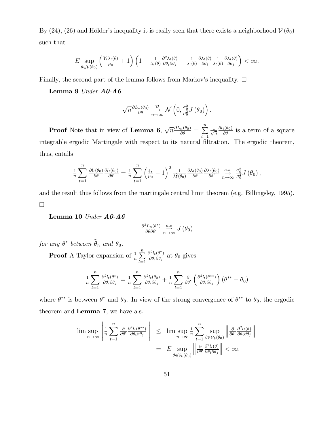By (24), (26) and Hölder's inequality it is easily seen that there exists a neighborhood  $V(\theta_0)$ such that

$$
E \sup_{\theta \in \mathcal{V}(\theta_0)} \left( \frac{Y_t \lambda_t(\theta)}{\mu_0} + 1 \right) \left( 1 + \frac{1}{\lambda_t(\theta)} \frac{\partial^2 \lambda_t(\theta)}{\partial \theta_i \partial \theta_j} + \frac{1}{\lambda_t(\theta)} \frac{\partial \lambda_t(\theta)}{\partial \theta_i} \frac{1}{\lambda_t(\theta)} \frac{\partial \lambda_t(\theta)}{\partial \theta_j} \right) < \infty.
$$

Finally, the second part of the lemma follows from Markov's inequality.  $\Box$ 

Lemma 9 Under A0-A6

$$
\sqrt{n} \frac{\partial L_n(\theta_0)}{\partial \theta} \underset{n \to \infty}{\xrightarrow{D}} \mathcal{N}\left(0, \frac{\sigma_0^2}{\mu_0^2} J\left(\theta_0\right)\right).
$$

**Proof** Note that in view of **Lemma 6**,  $\sqrt{n} \frac{\partial L_n(\theta_0)}{\partial \theta} = \sum_{n=1}^{\infty}$  $t=1$  $\frac{1}{\sqrt{2}}$  $\overline{n}$  $\frac{\partial l_t(\theta_0)}{\partial \theta}$  is a term of a square integrable ergodic Martingale with respect to its natural filtration. The ergodic theorem, thus, entails

$$
\frac{1}{n}\sum_{t=1}^{n}\frac{\partial l_t(\theta_0)}{\partial \theta}\frac{\partial l_t(\theta_0)}{\partial \theta'}=\frac{1}{n}\sum_{t=1}^{n}\left(\frac{\xi_t}{\mu_0}-1\right)^2\frac{1}{\lambda_t^2(\theta_0)}\frac{\partial \lambda_t(\theta_0)}{\partial \theta}\frac{\partial \lambda_t(\theta_0)}{\partial \theta'}\stackrel{a.s.}{\underset{n\to\infty}{\longrightarrow}}\frac{\sigma_0^2}{\mu_0^2}J(\theta_0),
$$

and the result thus follows from the martingale central limit theorem (e.g. Billingsley, 1995).  $\Box$ 

Lemma 10 Under A0-A6

$$
\frac{\partial^2 L_n(\theta^*)}{\partial \theta \partial \theta'} \underset{n \to \infty}{\overset{a.s}{\longrightarrow}} J(\theta_0)
$$

for any  $\theta^*$  between  $\theta_n$  and  $\theta_0$ .

**Proof** A Taylor expansion of  $\frac{1}{n} \sum_{n=1}^{\infty}$  $t=1$  $\partial^2 l_t(\theta^*)$  $\frac{\partial^2 l_t(\theta')}{\partial \theta_i \partial \theta_j}$  at  $\theta_0$  gives

$$
\frac{1}{n}\sum_{t=1}^{n}\frac{\partial^2 l_t(\theta^*)}{\partial \theta_i \partial \theta_j} = \frac{1}{n}\sum_{t=1}^{n}\frac{\partial^2 l_t(\theta_0)}{\partial \theta_i \partial \theta_j} + \frac{1}{n}\sum_{t=1}^{n}\frac{\partial}{\partial \theta'}\left(\frac{\partial^2 l_t(\theta^{**})}{\partial \theta_i \partial \theta_j}\right)(\theta^{**} - \theta_0)
$$

where  $\theta^{**}$  is between  $\theta^*$  and  $\theta_0$ . In view of the strong convergence of  $\theta^{**}$  to  $\theta_0$ , the ergodic theorem and Lemma 7, we have a.s.

$$
\limsup_{n \to \infty} \left\| \frac{1}{n} \sum_{t=1}^{n} \frac{\partial}{\partial \theta'} \frac{\partial^{2} l_{t}(\theta^{*})}{\partial \theta_{i} \partial \theta_{j}} \right\| \leq \limsup_{n \to \infty} \frac{1}{n} \sum_{t=1}^{n} \sup_{\theta \in \mathcal{V}_{k}(\theta_{0})} \left\| \frac{\partial}{\partial \theta'} \frac{\partial^{2} l_{t}(\theta)}{\partial \theta_{i} \partial \theta_{j}} \right\|
$$

$$
= E \sup_{\theta \in \mathcal{V}_{k}(\theta_{0})} \left\| \frac{\partial}{\partial \theta'} \frac{\partial^{2} l_{t}(\theta)}{\partial \theta_{i} \partial \theta_{j}} \right\| < \infty.
$$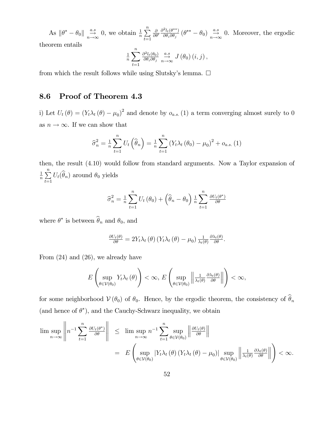As  $\|\theta^* - \theta_0\| \xrightarrow[n \to \infty]{a.s} 0$ , we obtain  $\frac{1}{n} \sum_{t=1}^n$  $t=1$  $\frac{\partial}{\partial \theta'} \frac{\partial^2 l_t(\theta^{**})}{\partial \theta_i \partial \theta_j}$  $\frac{\partial l_t(\theta^{**})}{\partial \theta_i \partial \theta_j}$  ( $\theta^{**} - \theta_0$ )  $\overset{a.s}{\rightarrow} 0$ . Moreover, the ergodic theorem entails 1  $\frac{1}{n} \sum_{n=1}^{n}$  $\partial^2 l_t(\theta_0)$  $\frac{\partial^2 l_t(\theta_0)}{\partial \theta_i \partial \theta_j} \stackrel{a.s}{\to} J(\theta_0)(i,j),$ 

from which the result follows while using Slutsky's lemma.  $\square$ 

 $t=1$ 

### 8.6 Proof of Theorem 4.3

i) Let  $U_t(\theta) = (Y_t \lambda_t(\theta) - \mu_0)^2$  and denote by  $o_{a.s.}(1)$  a term converging almost surely to 0 as  $n \to \infty.$  If we can show that

$$
\hat{\sigma}_n^2 = \frac{1}{n} \sum_{t=1}^n U_t \left( \hat{\theta}_n \right) = \frac{1}{n} \sum_{t=1}^n \left( Y_t \lambda_t \left( \theta_0 \right) - \mu_0 \right)^2 + o_{a.s.} (1)
$$

then, the result (4:10) would follow from standard arguments. Now a Taylor expansion of 1  $\frac{1}{n}$  $\sum_{n=1}^{n}$  $\sum_{t=1} U_t(\theta_n)$  around  $\theta_0$  yields

$$
\widehat{\sigma}_n^2 = \frac{1}{n} \sum_{t=1}^n U_t(\theta_0) + \left(\widehat{\theta}_n - \theta_0\right) \frac{1}{n} \sum_{t=1}^n \frac{\partial U_t(\theta^*)}{\partial \theta}
$$

where  $\theta^*$  is between  $\theta_n$  and  $\theta_0$ , and

$$
\frac{\partial U_t(\theta)}{\partial \theta} = 2Y_t \lambda_t(\theta) \left(Y_t \lambda_t(\theta) - \mu_0\right) \frac{1}{\lambda_t(\theta)} \frac{\partial \lambda_t(\theta)}{\partial \theta}.
$$

From (24) and (26), we already have

$$
E\left(\sup_{\theta\in\mathcal{V}(\theta_0)}Y_t\lambda_t(\theta)\right)<\infty, E\left(\sup_{\theta\in\mathcal{V}(\theta_0)}\left\|\frac{1}{\lambda_t(\theta)}\frac{\partial\lambda_t(\theta)}{\partial\theta}\right\|\right)<\infty,
$$

for some neighborhood  $V(\theta_0)$  of  $\theta_0$ . Hence, by the ergodic theorem, the consistency of  $\hat{\theta}_n$ (and hence of  $\theta^*$ ), and the Cauchy-Schwarz inequality, we obtain

$$
\limsup_{n \to \infty} \left\| n^{-1} \sum_{t=1}^n \frac{\partial U_t(\theta^*)}{\partial \theta} \right\| \leq \limsup_{n \to \infty} n^{-1} \sum_{t=1}^n \sup_{\theta \in \mathcal{V}(\theta_0)} \left\| \frac{\partial U_t(\theta)}{\partial \theta} \right\|
$$
  
= 
$$
E \left( \sup_{\theta \in \mathcal{V}(\theta_0)} |Y_t \lambda_t(\theta) (Y_t \lambda_t(\theta) - \mu_0)| \sup_{\theta \in \mathcal{V}(\theta_0)} \left\| \frac{1}{\lambda_t(\theta)} \frac{\partial \lambda_t(\theta)}{\partial \theta} \right\| \right) < \infty.
$$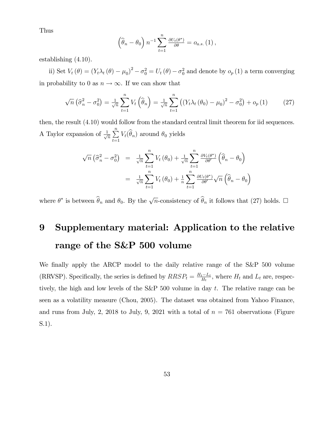Thus

$$
\left(\widehat{\theta}_n - \theta_0\right) n^{-1} \sum_{t=1}^n \frac{\partial U_t(\theta^*)}{\partial \theta} = o_{a.s.}(1) ,
$$

establishing  $(4.10)$ .

ii) Set  $V_t(\theta) = (Y_t \lambda_t(\theta) - \mu_0)^2 - \sigma_0^2 = U_t(\theta) - \sigma_0^2$  and denote by  $o_p(1)$  a term converging in probability to 0 as  $n\to\infty.$  If we can show that

$$
\sqrt{n}\left(\widehat{\sigma}_n^2-\sigma_0^2\right)=\frac{1}{\sqrt{n}}\sum_{t=1}^n V_t\left(\widehat{\theta}_n\right)=\frac{1}{\sqrt{n}}\sum_{t=1}^n \left(\left(Y_t\lambda_t\left(\theta_0\right)-\mu_0\right)^2-\sigma_0^2\right)+o_p\left(1\right) \tag{27}
$$

then, the result (4:10) would follow from the standard central limit theorem for iid sequences. A Taylor expansion of  $\frac{1}{\sqrt{2}}$  $\frac{n}{n}$  $\sum_{t=1} V_t(\theta_n)$  around  $\theta_0$  yields

$$
\sqrt{n} \left( \widehat{\sigma}_n^2 - \sigma_0^2 \right) = \frac{1}{\sqrt{n}} \sum_{t=1}^n V_t (\theta_0) + \frac{1}{\sqrt{n}} \sum_{t=1}^n \frac{\partial V_t(\theta^*)}{\partial \theta'} \left( \widehat{\theta}_n - \theta_0 \right)
$$

$$
= \frac{1}{\sqrt{n}} \sum_{t=1}^n V_t (\theta_0) + \frac{1}{n} \sum_{t=1}^n \frac{\partial U_t(\theta^*)}{\partial \theta'} \sqrt{n} \left( \widehat{\theta}_n - \theta_0 \right)
$$

where  $\theta^*$  is between  $\widehat{\theta}_n$  and  $\theta_0$ . By the  $\sqrt{n}$ -consistency of  $\widehat{\theta}_n$  it follows that (27) holds.  $\square$ 

# 9 Supplementary material: Application to the relative range of the S&P 500 volume

We finally apply the ARCP model to the daily relative range of the S&P 500 volume (RRVSP). Specifically, the series is defined by  $RRSP_t = \frac{H_t - L_t}{H_t}$ , where  $H_t$  and  $L_t$  are, respectively, the high and low levels of the S&P 500 volume in day  $t$ . The relative range can be seen as a volatility measure (Chou, 2005). The dataset was obtained from Yahoo Finance, and runs from July, 2, 2018 to July, 9, 2021 with a total of  $n = 761$  observations (Figure S.1).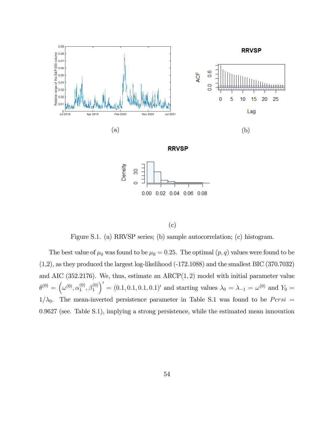

(c)

Figure S.1. (a) RRVSP series; (b) sample autocorrelation; (c) histogram.

The best value of  $\mu_0$  was found to be  $\mu_0 = 0.25$ . The optimal  $(p, q)$  values were found to be  $(1,2)$ , as they produced the largest log-likelihood  $(-172.1088)$  and the smallest BIC  $(370.7032)$ and AIC  $(352.2176)$ . We, thus, estimate an  $ARCP(1, 2)$  model with initial parameter value  $\theta^{(0)} = (\omega^{(0)}, \alpha_1^{(0)})$  $\overset{(0)}{1},\overset{(0)}{\beta_1^{(0)}}$  $\mathcal{O}' = (0.1, 0.1, 0.1, 0.1)'$  and starting values  $\lambda_0 = \lambda_{-1} = \omega^{(0)}$  and  $Y_0 =$  $1/\lambda_0$ . The mean-inverted persistence parameter in Table S.1 was found to be *Persi* = 0:9627 (see. Table S.1), implying a strong persistence, while the estimated mean innovation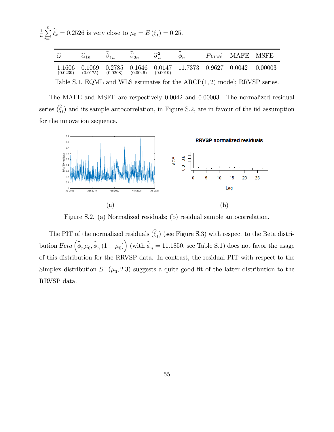1  $\frac{1}{n}$  $\sum_{n=1}^{n}$  $\sum_{t=1} \xi_t = 0.2526$  is very close to  $\mu_0 = E(\xi_t) = 0.25$ .

| $\widehat{\phantom{1}}$<br>$\omega$ | ∼<br>$\alpha_{1n}$ | ∼<br>$\mathbf{1}$  | ∼<br>$\smash{\omega_{2n}}$ | $\sim$<br>$\boldsymbol{n}$ | ∼<br>$\varphi_n$ | Persi  | MAFE   | MSFE    |
|-------------------------------------|--------------------|--------------------|----------------------------|----------------------------|------------------|--------|--------|---------|
| $1606\,$<br>(0.0239)                | 0.1069<br>(0.0175) | 0.2785<br>(0.0208) | 0.1646<br>(0.0046)         | 0.0147<br>(0.0019)         | 11.7373          | 0.9627 | 0.0042 | 0.00003 |

Table S.1. EQML and WLS estimates for the  $ARCP(1, 2)$  model; RRVSP series.

The MAFE and MSFE are respectively 0:0042 and 0:00003. The normalized residual series  $(\xi_t)$  and its sample autocorrelation, in Figure S.2, are in favour of the iid assumption for the innovation sequence.



Figure S.2. (a) Normalized residuals; (b) residual sample autocorrelation.

The PIT of the normalized residuals  $(\xi_t)$  (see Figure S.3) with respect to the Beta distribution  $Beta(\hat{\phi}_n\mu_0, \hat{\phi}_n(1-\mu_0))$  (with  $\hat{\phi}_n = 11.1850$ , see Table S.1) does not favor the usage of this distribution for the RRVSP data. In contrast, the residual PIT with respect to the Simplex distribution  $S^-(\mu_0, 2.3)$  suggests a quite good fit of the latter distribution to the RRVSP data.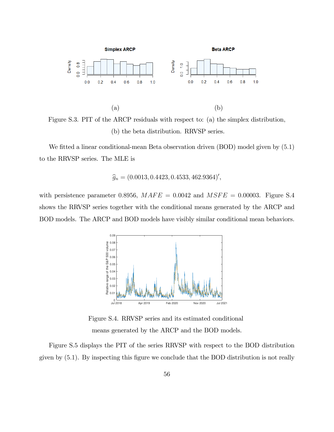

Figure S.3. PIT of the ARCP residuals with respect to: (a) the simplex distribution, (b) the beta distribution. RRVSP series.

We fitted a linear conditional-mean Beta observation driven  $(BOD)$  model given by  $(5.1)$ to the RRVSP series. The MLE is

$$
\widehat{g}_n = (0.0013, 0.4423, 0.4533, 462.9364)'
$$

with persistence parameter 0.8956,  $MAFE = 0.0042$  and  $MSFE = 0.00003$ . Figure S.4 shows the RRVSP series together with the conditional means generated by the ARCP and BOD models. The ARCP and BOD models have visibly similar conditional mean behaviors.



Figure S.4. RRVSP series and its estimated conditional means generated by the ARCP and the BOD models.

Figure S.5 displays the PIT of the series RRVSP with respect to the BOD distribution given by  $(5.1)$ . By inspecting this figure we conclude that the BOD distribution is not really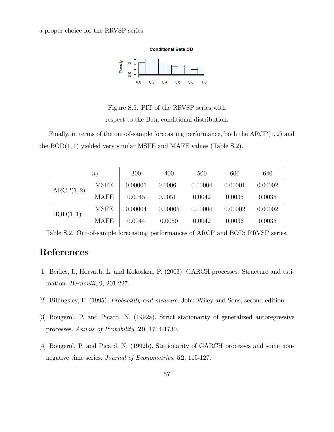a proper choice for the RRVSP series.



Figure S.5. PIT of the RRVSP series with respect to the Beta conditional distribution.

Finally, in terms of the out-of-sample forecasting performance, both the  $ARCP(1, 2)$  and the  $BOD(1, 1)$  yielded very similar MSFE and MAFE values (Table S.2).

| $n_f$     |             | 300     | 400     | 500     | 600     | 640     |
|-----------|-------------|---------|---------|---------|---------|---------|
| ARCP(1,2) | <b>MSFE</b> | 0.00005 | 0.0006  | 0.00004 | 0.00001 | 0.00002 |
|           | <b>MAFE</b> | 0.0045  | 0.0051  | 0.0042  | 0.0035  | 0.0035  |
| BOD(1,1)  | <b>MSFE</b> | 0.00004 | 0.00005 | 0.00004 | 0.00002 | 0.00002 |
|           | <b>MAFE</b> | 0.0044  | 0.0050  | 0.0042  | 0.0036  | 0.0035  |

Table S.2. Out-of-sample forecasting performances of ARCP and BOD; RRVSP series.

# References

- [1] Berkes, I., Horvath, L. and Kokoskza, P. (2003). GARCH processes: Structure and estimation. *Bernoulli*, 9, 201-227.
- [2] Billingsley, P. (1995). Probability and measure. John Wiley and Sons, second edition.
- [3] Bougerol, P. and Picard, N. (1992a). Strict stationarity of generalized autoregressive processes. Annals of Probability, 20, 1714-1730.
- [4] Bougerol, P. and Picard, N. (1992b). Stationarity of GARCH processes and some nonnegative time series. *Journal of Econometrics*, **52**, 115-127.